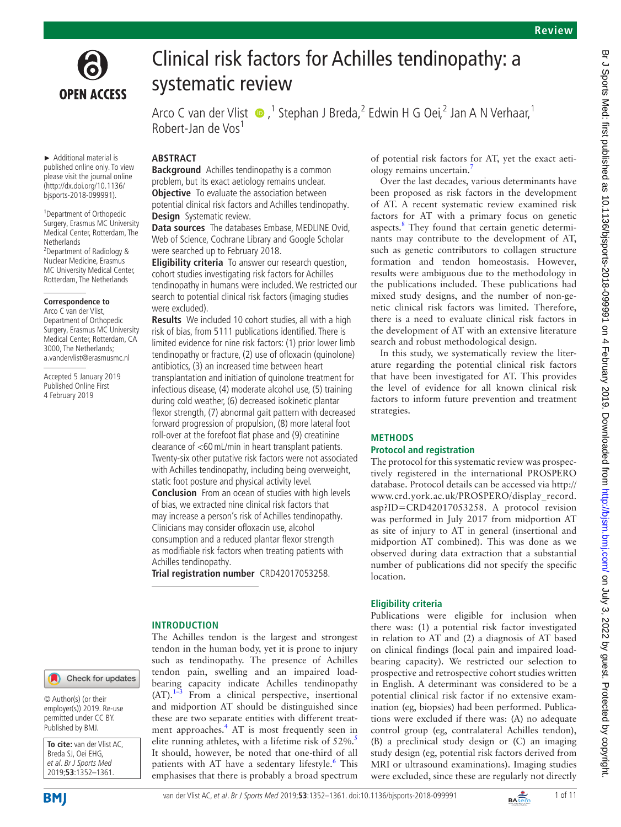

Br J Sports Med: first published as 10.1136/bjsports-2018-09991 on 4 February 2019. Downloaded from http://bjsm.bmj.com/ on July 3, 2022 by guest. Protected by copyright Br J Sports Med: first published as 10.1136/bjsports-2018-099991 on 4 February 2019. Downloaded from <http://bjsm.bmj.com/> 9. J Sports Med: Frotected by copyright.



# Clinical risk factors for Achilles tendinopathy: a systematic review

ArcoC van der Vlist  $\bigcirc$ ,<sup>1</sup> Stephan J Breda,<sup>2</sup> Edwin H G Oei,<sup>2</sup> Jan A N Verhaar,<sup>1</sup> Robert-Jan de Vos<sup>1</sup>

► Additional material is published online only. To view please visit the journal online (http://dx.doi.org/10.1136/ bjsports-2018-099991).

<sup>1</sup> Department of Orthopedic Surgery, Erasmus MC University Medical Center, Rotterdam, The Netherlands 2 Department of Radiology & Nuclear Medicine, Erasmus MC University Medical Center, Rotterdam, The Netherlands

#### **Correspondence to**

Arco C van der Vlist, Department of Orthopedic Surgery, Erasmus MC University Medical Center, Rotterdam, CA 3000, The Netherlands; a.vandervlist@erasmusmc.nl

Accepted 5 January 2019 Published Online First 4 February 2019

## **Abstract**

**Background** Achilles tendinopathy is a common problem, but its exact aetiology remains unclear. **Objective** To evaluate the association between potential clinical risk factors and Achilles tendinopathy. **Design** Systematic review.

**Data sources** The databases Embase, MEDLINE Ovid, Web of Science, Cochrane Library and Google Scholar were searched up to February 2018.

**Eligibility criteria** To answer our research question, cohort studies investigating risk factors for Achilles tendinopathy in humans were included. We restricted our search to potential clinical risk factors (imaging studies were excluded).

**Results** We included 10 cohort studies, all with a high risk of bias, from 5111 publications identified. There is limited evidence for nine risk factors: (1) prior lower limb tendinopathy or fracture, (2) use of ofloxacin (quinolone) antibiotics, (3) an increased time between heart transplantation and initiation of quinolone treatment for infectious disease, (4) moderate alcohol use, (5) training during cold weather, (6) decreased isokinetic plantar flexor strength, (7) abnormal gait pattern with decreased forward progression of propulsion, (8) more lateral foot roll-over at the forefoot flat phase and (9) creatinine clearance of <60mL/min in heart transplant patients. Twenty-six other putative risk factors were not associated with Achilles tendinopathy, including being overweight, static foot posture and physical activity level.

**Conclusion** From an ocean of studies with high levels of bias, we extracted nine clinical risk factors that may increase a person's risk of Achilles tendinopathy. Clinicians may consider ofloxacin use, alcohol consumption and a reduced plantar flexor strength as modifiable risk factors when treating patients with Achilles tendinopathy.

**Trial registration number** CRD42017053258.

#### **Introduction**

Check for updates

© Author(s) (or their employer(s)) 2019. Re-use permitted under CC BY. Published by BMJ.



The Achilles tendon is the largest and strongest tendon in the human body, yet it is prone to injury such as tendinopathy. The presence of Achilles tendon pain, swelling and an impaired loadbearing capacity indicate Achilles tendinopathy  $(AT)$ .<sup>[1–3](#page-9-0)</sup> From a clinical perspective, insertional and midportion AT should be distinguished since these are two separate entities with different treatment approaches.<sup>4</sup> AT is most frequently seen in elite running athletes, with a lifetime risk of  $52\%$  $52\%$ . It should, however, be noted that one-third of all patients with AT have a sedentary lifestyle.<sup>6</sup> This emphasises that there is probably a broad spectrum

of potential risk factors for AT, yet the exact aetiology remains uncertain[.7](#page-9-4)

Over the last decades, various determinants have been proposed as risk factors in the development of AT. A recent systematic review examined risk factors for AT with a primary focus on genetic aspects.<sup>[8](#page-9-5)</sup> They found that certain genetic determinants may contribute to the development of AT, such as genetic contributors to collagen structure formation and tendon homeostasis. However, results were ambiguous due to the methodology in the publications included. These publications had mixed study designs, and the number of non-genetic clinical risk factors was limited. Therefore, there is a need to evaluate clinical risk factors in the development of AT with an extensive literature search and robust methodological design.

In this study, we systematically review the literature regarding the potential clinical risk factors that have been investigated for AT. This provides the level of evidence for all known clinical risk factors to inform future prevention and treatment strategies.

## **Methods**

#### **Protocol and registration**

The protocol for this systematic review was prospectively registered in the international PROSPERO database. Protocol details can be accessed via [http://](http://www.crd.york.ac.uk/PROSPERO/display_record.asp?ID=CRD42017053258) [www.crd.york.ac.uk/PROSPERO/display\\_record.](http://www.crd.york.ac.uk/PROSPERO/display_record.asp?ID=CRD42017053258) [asp?ID=CRD42017053258](http://www.crd.york.ac.uk/PROSPERO/display_record.asp?ID=CRD42017053258). A protocol revision was performed in July 2017 from midportion AT as site of injury to AT in general (insertional and midportion AT combined). This was done as we observed during data extraction that a substantial number of publications did not specify the specific location.

## **Eligibility criteria**

Publications were eligible for inclusion when there was: (1) a potential risk factor investigated in relation to AT and (2) a diagnosis of AT based on clinical findings (local pain and impaired loadbearing capacity). We restricted our selection to prospective and retrospective cohort studies written in English. A determinant was considered to be a potential clinical risk factor if no extensive examination (eg, biopsies) had been performed. Publications were excluded if there was: (A) no adequate control group (eg, contralateral Achilles tendon), (B) a preclinical study design or (C) an imaging study design (eg, potential risk factors derived from MRI or ultrasound examinations). Imaging studies were excluded, since these are regularly not directly

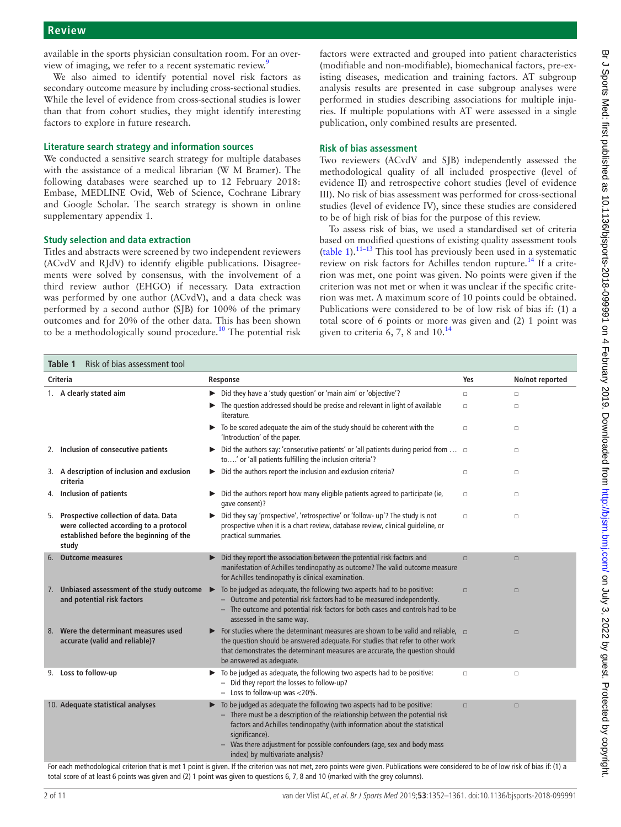available in the sports physician consultation room. For an overview of imaging, we refer to a recent systematic review.<sup>9</sup>

We also aimed to identify potential novel risk factors as secondary outcome measure by including cross-sectional studies. While the level of evidence from cross-sectional studies is lower than that from cohort studies, they might identify interesting factors to explore in future research.

#### **Literature search strategy and information sources**

We conducted a sensitive search strategy for multiple databases with the assistance of a medical librarian (W M Bramer). The following databases were searched up to 12 February 2018: Embase, MEDLINE Ovid, Web of Science, Cochrane Library and Google Scholar. The search strategy is shown in online [supplementary appendix 1](https://dx.doi.org/10.1136/bjsports-2018-099991).

#### **Study selection and data extraction**

Titles and abstracts were screened by two independent reviewers (ACvdV and RJdV) to identify eligible publications. Disagreements were solved by consensus, with the involvement of a third review author (EHGO) if necessary. Data extraction was performed by one author (ACvdV), and a data check was performed by a second author (SJB) for 100% of the primary outcomes and for 20% of the other data. This has been shown to be a methodologically sound procedure.<sup>[10](#page-9-7)</sup> The potential risk

factors were extracted and grouped into patient characteristics (modifiable and non-modifiable), biomechanical factors, pre-existing diseases, medication and training factors. AT subgroup analysis results are presented in case subgroup analyses were performed in studies describing associations for multiple injuries. If multiple populations with AT were assessed in a single publication, only combined results are presented.

#### **Risk of bias assessment**

Two reviewers (ACvdV and SJB) independently assessed the methodological quality of all included prospective (level of evidence II) and retrospective cohort studies (level of evidence III). No risk of bias assessment was performed for cross-sectional studies (level of evidence IV), since these studies are considered to be of high risk of bias for the purpose of this review.

To assess risk of bias, we used a standardised set of criteria based on modified questions of existing quality assessment tools ([table](#page-1-0) 1). $11-13$  This tool has previously been used in a systematic review on risk factors for Achilles tendon rupture.<sup>14</sup> If a criterion was met, one point was given. No points were given if the criterion was not met or when it was unclear if the specific criterion was met. A maximum score of 10 points could be obtained. Publications were considered to be of low risk of bias if: (1) a total score of 6 points or more was given and (2) 1 point was given to criteria 6, 7, 8 and  $10^{14}$  $10^{14}$  $10^{14}$ 

<span id="page-1-0"></span>

| Risk of bias assessment tool<br>Table 1 |                                                                                                                                    |                                                                                                                                                                                                                                                                                                                                                                                                          |        |                                                   |  |  |  |
|-----------------------------------------|------------------------------------------------------------------------------------------------------------------------------------|----------------------------------------------------------------------------------------------------------------------------------------------------------------------------------------------------------------------------------------------------------------------------------------------------------------------------------------------------------------------------------------------------------|--------|---------------------------------------------------|--|--|--|
| Criteria                                |                                                                                                                                    | Response                                                                                                                                                                                                                                                                                                                                                                                                 | Yes    | No/not reported                                   |  |  |  |
|                                         | 1. A clearly stated aim                                                                                                            | > Did they have a 'study question' or 'main aim' or 'objective'?                                                                                                                                                                                                                                                                                                                                         | $\Box$ | $\Box$                                            |  |  |  |
|                                         |                                                                                                                                    | The question addressed should be precise and relevant in light of available<br>literature.                                                                                                                                                                                                                                                                                                               | $\Box$ | $\Box$                                            |  |  |  |
|                                         |                                                                                                                                    | $\triangleright$ To be scored adequate the aim of the study should be coherent with the<br>'Introduction' of the paper.                                                                                                                                                                                                                                                                                  | $\Box$ | $\Box$                                            |  |  |  |
|                                         | 2. Inclusion of consecutive patients                                                                                               | ▶ Did the authors say: 'consecutive patients' or 'all patients during period from $\Box$<br>to' or 'all patients fulfilling the inclusion criteria'?                                                                                                                                                                                                                                                     |        | $\Box$                                            |  |  |  |
|                                         | 3. A description of inclusion and exclusion<br>criteria                                                                            | Did the authors report the inclusion and exclusion criteria?                                                                                                                                                                                                                                                                                                                                             | $\Box$ | $\Box$                                            |  |  |  |
| 4.                                      | Inclusion of patients                                                                                                              | Did the authors report how many eligible patients agreed to participate (ie,<br>qave consent)?                                                                                                                                                                                                                                                                                                           | $\Box$ | $\Box$                                            |  |  |  |
| 5.                                      | Prospective collection of data. Data<br>were collected according to a protocol<br>established before the beginning of the<br>study | Did they say 'prospective', 'retrospective' or 'follow- up'? The study is not<br>prospective when it is a chart review, database review, clinical quideline, or<br>practical summaries.                                                                                                                                                                                                                  | $\Box$ | $\Box$                                            |  |  |  |
|                                         | <b>Outcome measures</b>                                                                                                            | Did they report the association between the potential risk factors and<br>manifestation of Achilles tendinopathy as outcome? The valid outcome measure<br>for Achilles tendinopathy is clinical examination.                                                                                                                                                                                             | $\Box$ | $\Box$                                            |  |  |  |
|                                         | 7. Unbiased assessment of the study outcome<br>and potential risk factors                                                          | To be judged as adequate, the following two aspects had to be positive:<br>▶<br>- Outcome and potential risk factors had to be measured independently.<br>- The outcome and potential risk factors for both cases and controls had to be<br>assessed in the same way.                                                                                                                                    | $\Box$ | $\Box$                                            |  |  |  |
|                                         | 8. Were the determinant measures used<br>accurate (valid and reliable)?                                                            | For studies where the determinant measures are shown to be valid and reliable, $\Box$<br>the question should be answered adequate. For studies that refer to other work<br>that demonstrates the determinant measures are accurate, the question should<br>be answered as adequate.                                                                                                                      |        | $\Box$                                            |  |  |  |
|                                         | 9. Loss to follow-up                                                                                                               | To be judged as adequate, the following two aspects had to be positive:<br>- Did they report the losses to follow-up?<br>$-$ Loss to follow-up was <20%.                                                                                                                                                                                                                                                 | $\Box$ | $\Box$                                            |  |  |  |
|                                         | 10. Adequate statistical analyses<br>ale and all and and made                                                                      | To be judged as adequate the following two aspects had to be positive:<br>- There must be a description of the relationship between the potential risk<br>factors and Achilles tendinopathy (with information about the statistical<br>significance).<br>Was there adjustment for possible confounders (age, sex and body mass<br>index) by multivariate analysis?<br>والمتلاف والمتلاوي<br>$1.0 \pm 1.$ | $\Box$ | $\Box$<br>$-1$ , $-1$ , $-1$ , $-1$ , $-1$ , $-1$ |  |  |  |

For each methodological criterion that is met 1 point is given. If the criterion was not met, zero points were given. Publications were considered to be of low risk of bias if: (1) a total score of at least 6 points was given and (2) 1 point was given to questions 6, 7, 8 and 10 (marked with the grey columns).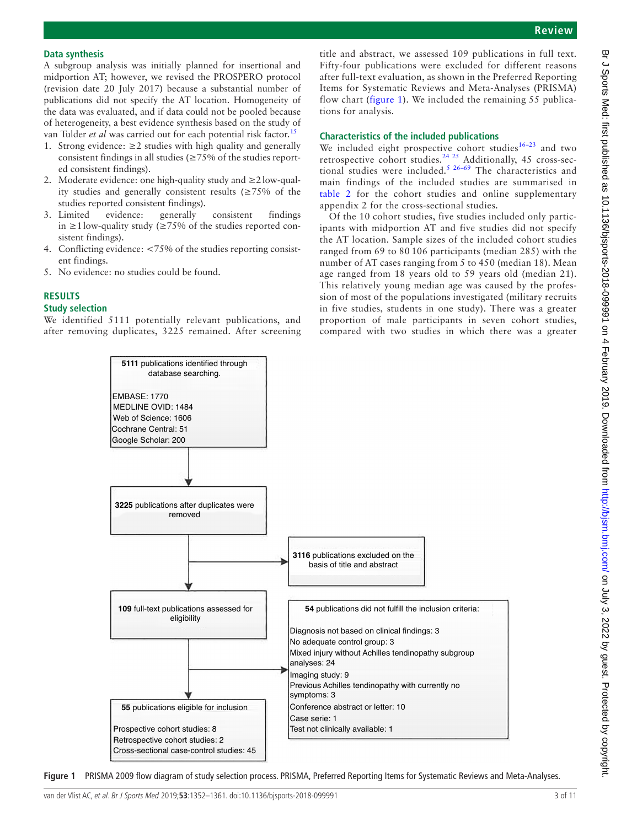#### **Data synthesis**

A subgroup analysis was initially planned for insertional and midportion AT; however, we revised the PROSPERO protocol (revision date 20 July 2017) because a substantial number of publications did not specify the AT location. Homogeneity of the data was evaluated, and if data could not be pooled because of heterogeneity, a best evidence synthesis based on the study of van Tulder *et al* was carried out for each potential risk factor.<sup>15</sup>

- 1. Strong evidence:  $\geq 2$  studies with high quality and generally consistent findings in all studies (≥75% of the studies reported consistent findings).
- 2. Moderate evidence: one high-quality study and ≥2low-quality studies and generally consistent results (≥75% of the studies reported consistent findings).
- 3. Limited evidence: generally consistent findings in ≥1low-quality study (≥75% of the studies reported consistent findings).
- 4. Conflicting evidence: <75% of the studies reporting consistent findings.
- 5. No evidence: no studies could be found.

## **Results**

#### **Study selection**

We identified 5111 potentially relevant publications, and after removing duplicates, 3225 remained. After screening

title and abstract, we assessed 109 publications in full text. Fifty-four publications were excluded for different reasons after full-text evaluation, as shown in the Preferred Reporting Items for Systematic Reviews and Meta-Analyses (PRISMA) flow chart ([figure](#page-2-0) 1). We included the remaining 55 publications for analysis.

#### **Characteristics of the included publications**

We included eight prospective cohort studies $16-23$  and two retrospective cohort studies.<sup>24 25</sup> Additionally, 45 cross-sectional studies were included.<sup>5 26-69</sup> The characteristics and main findings of the included studies are summarised in [table](#page-3-0) 2 for the cohort studies and online [supplementary](https://dx.doi.org/10.1136/bjsports-2018-099991) [appendix 2](https://dx.doi.org/10.1136/bjsports-2018-099991) for the cross-sectional studies.

Of the 10 cohort studies, five studies included only participants with midportion AT and five studies did not specify the AT location. Sample sizes of the included cohort studies ranged from 69 to 80 106 participants (median 285) with the number of AT cases ranging from 5 to 450 (median 18). Mean age ranged from 18 years old to 59 years old (median 21). This relatively young median age was caused by the profession of most of the populations investigated (military recruits in five studies, students in one study). There was a greater proportion of male participants in seven cohort studies, compared with two studies in which there was a greater



<span id="page-2-0"></span>**Figure 1** PRISMA 2009 flow diagram of study selection process. PRISMA, Preferred Reporting Items for Systematic Reviews and Meta-Analyses.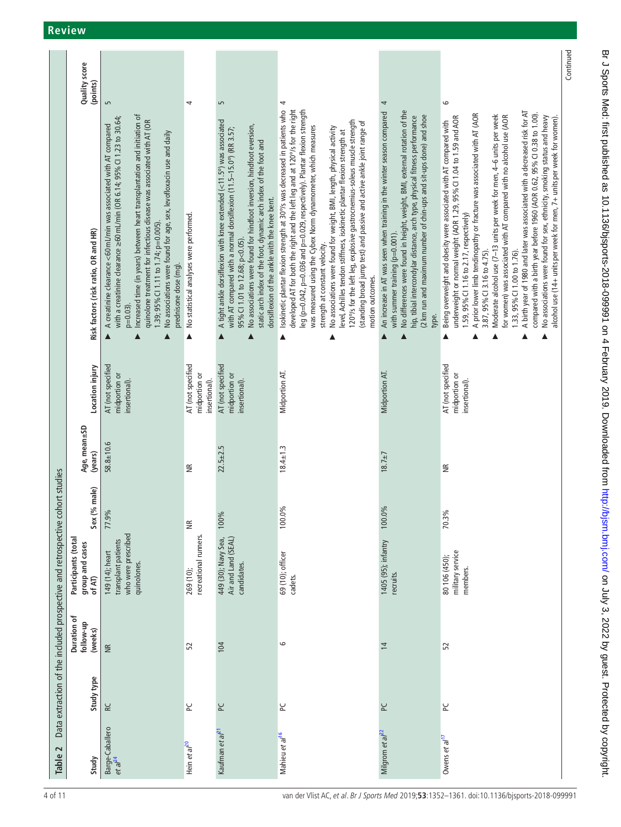## **Review**

<span id="page-3-0"></span>

|                                                                              | Quality score<br>(points)                        |                                                                                                                                                                                                                                                                                                                                                                                                                                                                                  |                                                     |                                                                                                                                                                                                                                                                                                                                                                                       |                                                                                                                                                                                                                                                                                                                                                                                                                                                                                                                                                                                                                                                                                          |                                                                                                                                                                                                                                                                                                                                                             |                                                                                                                                                                                                                                                                                                                                                                                                                                                                                                                                                                                                                                                                                                                                                                                                                   | Continued |
|------------------------------------------------------------------------------|--------------------------------------------------|----------------------------------------------------------------------------------------------------------------------------------------------------------------------------------------------------------------------------------------------------------------------------------------------------------------------------------------------------------------------------------------------------------------------------------------------------------------------------------|-----------------------------------------------------|---------------------------------------------------------------------------------------------------------------------------------------------------------------------------------------------------------------------------------------------------------------------------------------------------------------------------------------------------------------------------------------|------------------------------------------------------------------------------------------------------------------------------------------------------------------------------------------------------------------------------------------------------------------------------------------------------------------------------------------------------------------------------------------------------------------------------------------------------------------------------------------------------------------------------------------------------------------------------------------------------------------------------------------------------------------------------------------|-------------------------------------------------------------------------------------------------------------------------------------------------------------------------------------------------------------------------------------------------------------------------------------------------------------------------------------------------------------|-------------------------------------------------------------------------------------------------------------------------------------------------------------------------------------------------------------------------------------------------------------------------------------------------------------------------------------------------------------------------------------------------------------------------------------------------------------------------------------------------------------------------------------------------------------------------------------------------------------------------------------------------------------------------------------------------------------------------------------------------------------------------------------------------------------------|-----------|
|                                                                              | Risk factors (risk ratio, OR and HR)             | S<br>Increased time (in years) between heart transplantation and initiation of<br>with a creatinine clearance ≥60 mL/min (OR 6.14; 95% Cl 1.23 to 30.64;<br>quinolone treatment for infectious disease was associated with AT (OR<br>A creatinine clearance <60 mL/min was associated with AT compared<br>No associations were found for age, sex, levofloxacin use and daily<br>1.39; 95% CI 1.11 to 1.74; p=0.005).<br>prednisone dose (mg).<br>$p=0.03$ )<br>$\blacktriangle$ | 4<br>No statistical analyses were performed.<br>Δ   | S<br>A tight ankle dorsiflexion with knee extended (<11.5°) was associated<br>No associations were found for hindfoot inversion, hindfoot eversion,<br>with AT compared with a normal dorsiflexion (11.5-15.0°) (RR 3.57;<br>static arch index of the foot, dynamic arch index of the foot and<br>dorsiflexion of the ankle with the knee bent.<br>95% CI1.01 to 12.68; p<0.05).<br>▲ | 4<br>Isokinetic plantar flexion strength at 30°/s was decreased in patients who<br>developed AT for both the right and the left leg and at 120°/s for the right<br>leg (p=0.042, p=0.036 and p=0.029, respectively). Plantar flexion strength<br>120°/s for the left leg, explosive gastrocnemius-soleus muscle strength<br>(standing broad jump test) and passive and active ankle joint range of<br>was measured using the Cybex Norm dynamometer, which measures<br>No associations were found for weight, BMI, length, physical activity<br>level, Achilles tendon stiffness, isokinetic plantar flexion strength at<br>strength at constant velocity.<br>motion outcomes.<br>▲<br>▲ | 4<br>No differences were found in height, weight, BMI, external rotation of the<br>An increase in AT was seen when training in the winter season compared<br>(2 km run and maximum number of chin-ups and sit-ups done) and shoe<br>hip, tibial intercondylar distance, arch type, physical fitness performance<br>with summer training (p=0.001).<br>type. | $\circ$<br>A birth year of 1980 and later was associated with a decreased risk for AT<br>compared with a birth year before 1960 (AOR 0.62, 95% CI 0.38 to 1.00).<br>A prior lower limb tendinopathy or fracture was associated with AT (AOR<br>Moderate alcohol use (7-13 units per week for men, 4-6 units per week<br>No associations were found for sex, ethnicity, smoking status and heavy<br>alcohol use (14+ units per week for men, 7+ units per week for women).<br>for women) was associated with AT compared with no alcohol use (AOR<br>underweight or normal weight (AOR 1.29, 95% Cl 1.04 to 1.59 and AOR<br>Being overweight and obesity were associated with AT compared with<br>1.59, 95% CI 1.16 to 2.17, respectively)<br>3.87, 95% CI 3.16 to 4.75).<br>1.33, 95% CI 1.00 to 1.76).<br>▲<br>▲ |           |
|                                                                              | Location injury                                  | AT (not specified<br>midportion or<br>insertional).                                                                                                                                                                                                                                                                                                                                                                                                                              | AT (not specified<br>midportion or<br>insertional). | AT (not specified<br>midportion or<br>insertional).                                                                                                                                                                                                                                                                                                                                   | Midportion AT.                                                                                                                                                                                                                                                                                                                                                                                                                                                                                                                                                                                                                                                                           | Midportion AT.                                                                                                                                                                                                                                                                                                                                              | AT (not specified<br>midportion or<br>insertional).                                                                                                                                                                                                                                                                                                                                                                                                                                                                                                                                                                                                                                                                                                                                                               |           |
|                                                                              | Age, mean±SD<br>(years)                          | $58.8 \pm 10.6$                                                                                                                                                                                                                                                                                                                                                                                                                                                                  | ⋚                                                   | $22.5 \pm 2.5$                                                                                                                                                                                                                                                                                                                                                                        | $18.4 \pm 1.3$                                                                                                                                                                                                                                                                                                                                                                                                                                                                                                                                                                                                                                                                           | $18.7 \pm 7$                                                                                                                                                                                                                                                                                                                                                | ⋚                                                                                                                                                                                                                                                                                                                                                                                                                                                                                                                                                                                                                                                                                                                                                                                                                 |           |
| Data extraction of the included prospective and retrospective cohort studies | Sex (% male)                                     | 77.9%                                                                                                                                                                                                                                                                                                                                                                                                                                                                            | $\widetilde{\Xi}$                                   | 100%                                                                                                                                                                                                                                                                                                                                                                                  | <b>Do</b><br>100.0                                                                                                                                                                                                                                                                                                                                                                                                                                                                                                                                                                                                                                                                       | 100.0%                                                                                                                                                                                                                                                                                                                                                      | 70.3%                                                                                                                                                                                                                                                                                                                                                                                                                                                                                                                                                                                                                                                                                                                                                                                                             |           |
|                                                                              | Participants (total<br>group and cases<br>of AT) | who were prescribed<br>transplant patients<br>149 (14); heart<br>quinolones.                                                                                                                                                                                                                                                                                                                                                                                                     | recreational runners.<br>269 (10);                  | 449 (30); Navy Sea,<br>Air and Land (SEAL)<br>candidates.                                                                                                                                                                                                                                                                                                                             | 69 (10); officer<br>cadets.                                                                                                                                                                                                                                                                                                                                                                                                                                                                                                                                                                                                                                                              | 1405 (95); infantry<br>recruits.                                                                                                                                                                                                                                                                                                                            | military service<br>80 106 (450);<br>members.                                                                                                                                                                                                                                                                                                                                                                                                                                                                                                                                                                                                                                                                                                                                                                     |           |
|                                                                              | Duration of<br>follow-up<br>(weeks)              | $\widetilde{\Xi}$                                                                                                                                                                                                                                                                                                                                                                                                                                                                | 52                                                  | 104                                                                                                                                                                                                                                                                                                                                                                                   | 9                                                                                                                                                                                                                                                                                                                                                                                                                                                                                                                                                                                                                                                                                        | $\overline{4}$                                                                                                                                                                                                                                                                                                                                              | 52                                                                                                                                                                                                                                                                                                                                                                                                                                                                                                                                                                                                                                                                                                                                                                                                                |           |
|                                                                              | Study type                                       | <b>RC</b>                                                                                                                                                                                                                                                                                                                                                                                                                                                                        | ی                                                   | 5C                                                                                                                                                                                                                                                                                                                                                                                    | R                                                                                                                                                                                                                                                                                                                                                                                                                                                                                                                                                                                                                                                                                        | 오                                                                                                                                                                                                                                                                                                                                                           | 5C                                                                                                                                                                                                                                                                                                                                                                                                                                                                                                                                                                                                                                                                                                                                                                                                                |           |
| $\sim$<br>Table                                                              | Study                                            | Barge-Caballero<br>et al <sup>24</sup>                                                                                                                                                                                                                                                                                                                                                                                                                                           | Hein et al <sup>20</sup>                            | Kaufman et al <sup>21</sup>                                                                                                                                                                                                                                                                                                                                                           | Mahieu et al <sup>16</sup>                                                                                                                                                                                                                                                                                                                                                                                                                                                                                                                                                                                                                                                               | Milgrom et a $\mathit{l}^{2}$                                                                                                                                                                                                                                                                                                                               | Owens et al <sup>17</sup>                                                                                                                                                                                                                                                                                                                                                                                                                                                                                                                                                                                                                                                                                                                                                                                         |           |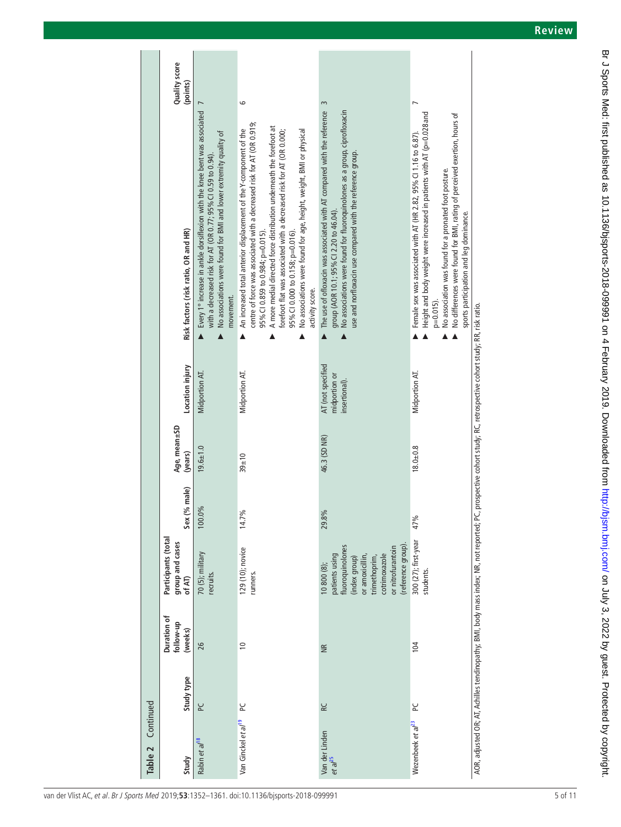| Continued<br>Table 2            |            |                                     |                                                                                                                                                                  |                 |                         |                                                                                                                                                                    |                                                                                                                                                                                                                                                                                                                                                                                                                                                               |                           |
|---------------------------------|------------|-------------------------------------|------------------------------------------------------------------------------------------------------------------------------------------------------------------|-----------------|-------------------------|--------------------------------------------------------------------------------------------------------------------------------------------------------------------|---------------------------------------------------------------------------------------------------------------------------------------------------------------------------------------------------------------------------------------------------------------------------------------------------------------------------------------------------------------------------------------------------------------------------------------------------------------|---------------------------|
| Study                           | Study type | Duration of<br>follow-up<br>(weeks) | Participants (total<br>group and cases<br>of AT)                                                                                                                 | (% male)<br>Sex | Age, mean±SD<br>(years) | Location injury                                                                                                                                                    | Risk factors (risk ratio, OR and HR)                                                                                                                                                                                                                                                                                                                                                                                                                          | Quality score<br>(points) |
| Rabin et al <sup>18</sup>       | یم         | 26                                  | 70 (5); military<br>recruits.                                                                                                                                    | 0%<br>100.      | $19.6 + 1.0$            | Midportion AT                                                                                                                                                      | Every 1° increase in ankle dorsiflexion with the knee bent was associated<br>No associations were found for BMI and lower extremity quality of<br>with a decreased risk for AT (OR 0.77; 95% CI 0.59 to 0.94)<br>movement.                                                                                                                                                                                                                                    |                           |
| Van Ginckel et al <sup>19</sup> | یے         | $\approx$                           | 129 (10); novice<br>runners.                                                                                                                                     | వ్<br>14.7      | $39 + 10$               | Midportion AT.                                                                                                                                                     | centre of force was associated with a decreased risk for AT (OR 0.919;<br>A more medial directed force distribution underneath the forefoot at<br>An increased total anterior displacement of the Y-component of the<br>No associations were found for age, height, weight, BMI or physical<br>forefoot flat was associated with a decreased risk for AT (OR 0.000;<br>95% CI 0.000 to 0.158; p=0.016).<br>95% CI 0.859 to 0.984; p=0.015)<br>activity score. | 6                         |
| Van der Linden<br>$et$ a $l25$  | RC         | $\widetilde{\Xi}$                   | (reference group)<br>fluoroquinolones<br>or nitrofurantoin<br>cotrimoxazole<br>patients using<br>or amoxicillin,<br>trimethoprim,<br>(index group)<br>10800 (8); | 29.8%           | 46.3 (SD NR)            | AT (not specified<br>midportion or<br>insertional).                                                                                                                | The use of ofloxacin was associated with AT compared with the reference<br>No associations were found for fluoroquinolones as a group, ciprofloxacin<br>use and norfloxacin use compared with the reference group.<br>group (AOR 10.1; 95% Cl 2.20 to 46.04).                                                                                                                                                                                                 | 3                         |
| Wezenbeek et al <sup>23</sup>   | ص          | 104                                 | 300 (27); first-year<br>students.                                                                                                                                | 47%             | $18.0 + 0.8$            | Midportion AT.                                                                                                                                                     | Height and body weight were increased in patients with AT (p=0.028 and<br>No differences were found for BMI, rating of perceived exertion, hours of<br>Female sex was associated with AT (HR 2.82, 95% CI 1.16 to 6.87).<br>No association was found for a pronated foot posture.<br>sports participation and leg dominance.<br>$p=0.015$ ).                                                                                                                  |                           |
|                                 |            |                                     |                                                                                                                                                                  |                 |                         | AOR, adjusted OR; AT, Achilles tendinopathy; BMI, body mass index; NR, not reported; PC, prospective cohort study; RC, retrospective cohort study; RR, risk ratio. |                                                                                                                                                                                                                                                                                                                                                                                                                                                               |                           |

Br J Sports Med: first published as 10.1136/bjsports-2018-099991 on 4 February 2019. Downloaded from <http://bjsm.bmj.com/> 9. J Sports Med: Frotected by copyright.

Br J Sports Med: first published as 10.1136/bjsports-2018-09991 on 4 February 2019. Downloaded from http://bjsm.bmj.com/ on July 3, 2022 by guest. Protected by copyright.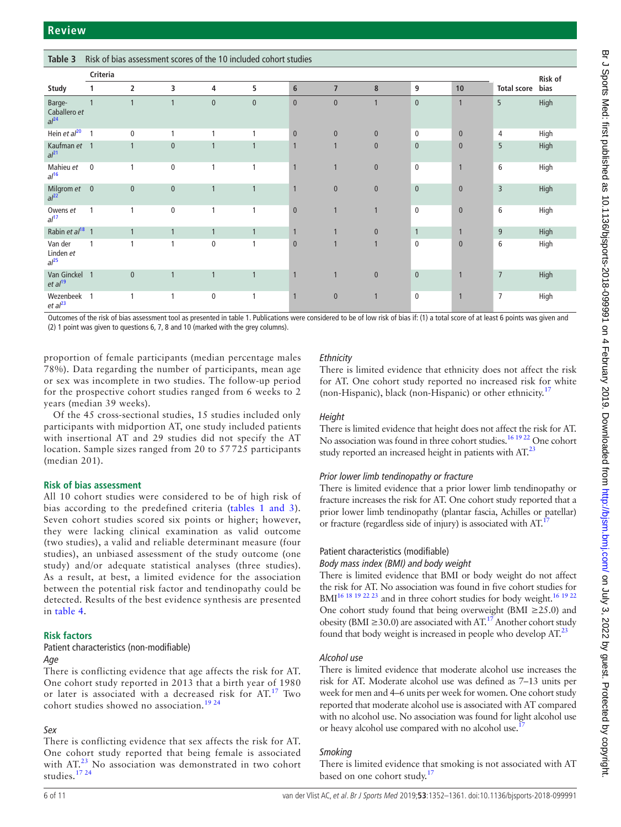**Table 3** Risk of bias assessment scores of the 10 included cohort studies

|                                            | Criteria       |                |              |                |              |              |                |                |              |                |                    | Risk of |
|--------------------------------------------|----------------|----------------|--------------|----------------|--------------|--------------|----------------|----------------|--------------|----------------|--------------------|---------|
| Study                                      |                | $\overline{2}$ | 3            | 4              | 5            | 6            | $\overline{7}$ | 8              | 9            | 10             | <b>Total score</b> | bias    |
| Barge-<br>Caballero et<br>al <sup>24</sup> | $\mathbf{1}$   | $\mathbf{1}$   |              | $\mathbf{0}$   | $\mathbf{0}$ | $\mathbf{0}$ | $\mathbf{0}$   | $\mathbf{1}$   | $\mathbf{0}$ | $\overline{1}$ | 5                  | High    |
| Hein et $al^{20}$                          | $\overline{1}$ | $\mathbf 0$    |              |                | 1            | $\mathbf{0}$ | $\mathbf{0}$   | $\mathbf{0}$   | $\mathbf 0$  | $\mathbf{0}$   | $\overline{4}$     | High    |
| Kaufman et 1<br>al <sup>21</sup>           |                | $\mathbf{1}$   | $\mathbf{0}$ |                | $\mathbf{1}$ |              |                | $\pmb{0}$      | $\mathbf{0}$ | $\mathbf{0}$   | 5                  | High    |
| Mahieu et<br>al <sup>16</sup>              | $\mathbf 0$    | 1              | $\mathbf 0$  | 1              | 1            | 1            | $\mathbf{1}$   | $\mathbf{0}$   | $\mathbf 0$  | $\mathbf{1}$   | 6                  | High    |
| Milgrom et 0<br>al <sup>22</sup>           |                | $\mathbf{0}$   | $\mathbf{0}$ | $\overline{1}$ | $\mathbf{1}$ |              | $\mathbf{0}$   | $\pmb{0}$      | $\mathbf{0}$ | $\mathbf{0}$   | $\overline{3}$     | High    |
| Owens et<br>al <sup>17</sup>               | $\mathbf{1}$   | 1              | $\pmb{0}$    | 1              | 1            | $\mathbf{0}$ |                | $\overline{1}$ | $\pmb{0}$    | $\mathbf{0}$   | 6                  | High    |
| Rabin et al <sup>18</sup> 1                |                | 1              |              | $\mathbf{1}$   | $\mathbf{1}$ |              |                | $\pmb{0}$      | $\mathbf{1}$ | $\mathbf{1}$   | 9                  | High    |
| Van der<br>Linden et<br>al <sup>25</sup>   | $\mathbf{1}$   | 1              | $\mathbf{1}$ | $\mathbf 0$    | $\mathbf{1}$ | $\mathbf{0}$ |                | $\mathbf{1}$   | $\mathbf 0$  | $\mathbf{0}$   | 6                  | High    |
| Van Ginckel<br>et al <sup>19</sup>         | $\overline{1}$ | $\mathbf{0}$   |              | $\mathbf{1}$   | $\mathbf{1}$ |              | $\mathbf{1}$   | $\pmb{0}$      | $\pmb{0}$    | $\mathbf{1}$   | $\overline{7}$     | High    |
| Wezenbeek<br>et al <sup>23</sup>           | $\overline{1}$ |                |              | $\mathbf 0$    | 1            | 1            | $\mathbf{0}$   | $\overline{1}$ | $\mathbf 0$  | $\overline{1}$ | $\overline{7}$     | High    |

Outcomes of the risk of bias assessment tool as presented in [table 1](#page-1-0). Publications were considered to be of low risk of bias if: (1) a total score of at least 6 points was given and (2) 1 point was given to questions 6, 7, 8 and 10 (marked with the grey columns).

proportion of female participants (median percentage males 78%). Data regarding the number of participants, mean age or sex was incomplete in two studies. The follow-up period for the prospective cohort studies ranged from 6 weeks to 2 years (median 39 weeks).

Of the 45 cross-sectional studies, 15 studies included only participants with midportion AT, one study included patients with insertional AT and 29 studies did not specify the AT location. Sample sizes ranged from 20 to 57 725 participants (median 201).

#### **Risk of bias assessment**

All 10 cohort studies were considered to be of high risk of bias according to the predefined criteria (tables [1 and 3\)](#page-1-0). Seven cohort studies scored six points or higher; however, they were lacking clinical examination as valid outcome (two studies), a valid and reliable determinant measure (four studies), an unbiased assessment of the study outcome (one study) and/or adequate statistical analyses (three studies). As a result, at best, a limited evidence for the association between the potential risk factor and tendinopathy could be detected. Results of the best evidence synthesis are presented in [table](#page-6-0) 4.

## **Risk factors**

#### Patient characteristics (non-modifiable)

#### *Age*

There is conflicting evidence that age affects the risk for AT. One cohort study reported in 2013 that a birth year of 1980 or later is associated with a decreased risk for AT.<sup>[17](#page-9-15)</sup> Two cohort studies showed no association.<sup>19</sup> <sup>24</sup>

## *Sex*

There is conflicting evidence that sex affects the risk for AT. One cohort study reported that being female is associated with AT.<sup>23</sup> No association was demonstrated in two cohort studies.<sup>17</sup> <sup>24</sup>

## *Ethnicity*

There is limited evidence that ethnicity does not affect the risk for AT. One cohort study reported no increased risk for white (non-Hispanic), black (non-Hispanic) or other ethnicity.<sup>17</sup>

#### *Height*

There is limited evidence that height does not affect the risk for AT. No association was found in three cohort studies.<sup>16 19 22</sup> One cohort study reported an increased height in patients with  $AT<sup>23</sup>$  $AT<sup>23</sup>$  $AT<sup>23</sup>$ 

## *Prior lower limb tendinopathy or fracture*

There is limited evidence that a prior lower limb tendinopathy or fracture increases the risk for AT. One cohort study reported that a prior lower limb tendinopathy (plantar fascia, Achilles or patellar) or fracture (regardless side of injury) is associated with AT.<sup>17</sup>

## Patient characteristics (modifiable)

#### *Body mass index (BMI) and body weight*

There is limited evidence that BMI or body weight do not affect the risk for AT. No association was found in five cohort studies for BMI<sup>16 18 19 22 23</sup> and in three cohort studies for body weight.<sup>16 19 22</sup> One cohort study found that being overweight (BMI ≥25.0) and obesity (BMI  $\geq$ 30.0) are associated with AT.<sup>[17](#page-9-15)</sup> Another cohort study found that body weight is increased in people who develop  $AT^{23}$  $AT^{23}$  $AT^{23}$ 

## *Alcohol use*

There is limited evidence that moderate alcohol use increases the risk for AT. Moderate alcohol use was defined as 7–13 units per week for men and 4–6 units per week for women. One cohort study reported that moderate alcohol use is associated with AT compared with no alcohol use. No association was found for light alcohol use or heavy alcohol use compared with no alcohol use.

## *Smoking*

There is limited evidence that smoking is not associated with AT based on one cohort study.<sup>[17](#page-9-15)</sup>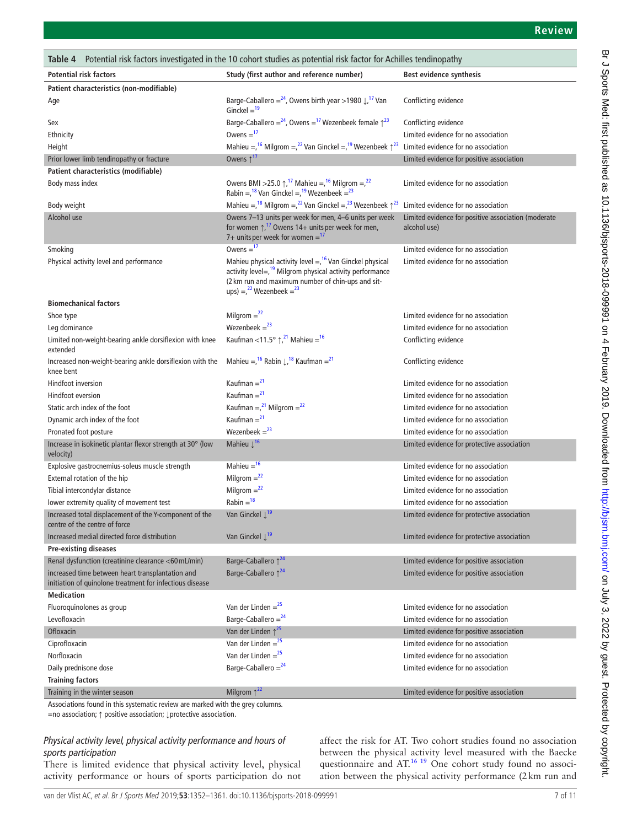<span id="page-6-0"></span>

| <b>Potential risk factors</b><br>Study (first author and reference number)<br>Best evidence synthesis<br>Patient characteristics (non-modifiable)<br>Barge-Caballero = $24$ , Owens birth year > 1980 $\downarrow$ , <sup>17</sup> Van<br>Conflicting evidence<br>Age<br>Ginckel $=$ <sup>19</sup><br>Barge-Caballero = $24$ , Owens = $17$ Wezenbeek female $\uparrow$ $23$<br>Conflicting evidence<br>Sex<br>Owens $=$ <sup>17</sup><br>Limited evidence for no association<br>Ethnicity<br>Mahieu = $1^6$ Milgrom = $2^2$ Van Ginckel = $1^9$ Wezenbeek $\uparrow^{23}$<br>Limited evidence for no association<br>Height<br>Owens $\uparrow$ <sup>17</sup><br>Limited evidence for positive association<br>Prior lower limb tendinopathy or fracture<br>Patient characteristics (modifiable)<br>Owens BMI > 25.0 $\uparrow$ , <sup>17</sup> Mahieu = $,^{16}$ Milgrom = $,^{22}$<br>Body mass index<br>Limited evidence for no association<br>Rabin = $18$ Van Ginckel = $19$ Wezenbeek = $23$<br>Mahieu = $18$ Milgrom = $22$ Van Ginckel = $23$ Wezenbeek $\uparrow^{23}$<br>Limited evidence for no association<br>Body weight<br>Owens 7-13 units per week for men, 4-6 units per week<br>Alcohol use<br>Limited evidence for positive association (moderate<br>for women $\uparrow$ , <sup>17</sup> Owens 14+ units per week for men,<br>alcohol use)<br>7+ units per week for women = $17$<br>Owens $=$ <sup>17</sup><br>Limited evidence for no association<br>Smoking<br>Mahieu physical activity level = $16$ Van Ginckel physical<br>Limited evidence for no association<br>Physical activity level and performance<br>activity level=, <sup>19</sup> Milgrom physical activity performance<br>(2 km run and maximum number of chin-ups and sit-<br>ups) = $^{22}$ Wezenbeek = $^{23}$<br><b>Biomechanical factors</b><br>Milgrom $=$ <sup>22</sup><br>Limited evidence for no association<br>Shoe type<br>Wezenbeek $=$ <sup>23</sup><br>Limited evidence for no association<br>Leg dominance<br>Kaufman <11.5° $\uparrow$ , <sup>21</sup> Mahieu = <sup>16</sup><br>Limited non-weight-bearing ankle dorsiflexion with knee<br>Conflicting evidence<br>extended<br>Mahieu = $^{16}$ Rabin $\downarrow$ , <sup>18</sup> Kaufman = <sup>21</sup><br>Increased non-weight-bearing ankle dorsiflexion with the<br>Conflicting evidence<br>knee bent<br>Kaufman = $21$<br>Hindfoot inversion<br>Limited evidence for no association<br>Kaufman $=$ <sup>21</sup><br>Hindfoot eversion<br>Limited evidence for no association<br>Kaufman = $^{21}$ Milgrom = $^{22}$<br>Static arch index of the foot<br>Limited evidence for no association<br>Kaufman = $^{21}$<br>Dynamic arch index of the foot<br>Limited evidence for no association<br>Wezenbeek $=$ <sup>23</sup><br>Pronated foot posture<br>Limited evidence for no association<br>Mahieu $\downarrow$ <sup>16</sup><br>Increase in isokinetic plantar flexor strength at 30° (low<br>Limited evidence for protective association<br>velocity)<br>Mahieu = $16$<br>Limited evidence for no association<br>Explosive gastrocnemius-soleus muscle strength<br>Milgrom $=$ <sup>22</sup><br>External rotation of the hip<br>Limited evidence for no association<br>Milgrom $=$ <sup>22</sup><br>Tibial intercondylar distance<br>Limited evidence for no association<br>$Rabin = 18$<br>lower extremity quality of movement test<br>Limited evidence for no association<br>Van Ginckel $\downarrow$ <sup>19</sup><br>Increased total displacement of the Y-component of the<br>Limited evidence for protective association<br>centre of the centre of force<br>Van Ginckel $\downarrow$ <sup>19</sup><br>Increased medial directed force distribution<br>Limited evidence for protective association<br><b>Pre-existing diseases</b><br>Barge-Caballero 1 <sup>24</sup><br>Renal dysfunction (creatinine clearance <60 mL/min)<br>Limited evidence for positive association<br>Barge-Caballero 1 <sup>24</sup><br>increased time between heart transplantation and<br>Limited evidence for positive association<br>initiation of quinolone treatment for infectious disease<br><b>Medication</b><br>Van der Linden = $25$<br>Limited evidence for no association<br>Fluoroquinolones as group<br>Barge-Caballero = $24$<br>Limited evidence for no association<br>Levofloxacin<br>Van der Linden $\uparrow^{25}$<br>Limited evidence for positive association<br>Ofloxacin<br>Van der Linden = $25$<br>Ciprofloxacin<br>Limited evidence for no association<br>Van der Linden = $25$<br>Limited evidence for no association<br>Norfloxacin<br>Barge-Caballero = $24$<br>Daily prednisone dose<br>Limited evidence for no association<br><b>Training factors</b><br>Milgrom $\uparrow^{22}$<br>Limited evidence for positive association<br>Training in the winter season<br>Associations found in this systematic review are marked with the grey columns. | Potential risk factors investigated in the 10 cohort studies as potential risk factor for Achilles tendinopathy<br>Table 4 |  |  |  |  |  |  |  |
|----------------------------------------------------------------------------------------------------------------------------------------------------------------------------------------------------------------------------------------------------------------------------------------------------------------------------------------------------------------------------------------------------------------------------------------------------------------------------------------------------------------------------------------------------------------------------------------------------------------------------------------------------------------------------------------------------------------------------------------------------------------------------------------------------------------------------------------------------------------------------------------------------------------------------------------------------------------------------------------------------------------------------------------------------------------------------------------------------------------------------------------------------------------------------------------------------------------------------------------------------------------------------------------------------------------------------------------------------------------------------------------------------------------------------------------------------------------------------------------------------------------------------------------------------------------------------------------------------------------------------------------------------------------------------------------------------------------------------------------------------------------------------------------------------------------------------------------------------------------------------------------------------------------------------------------------------------------------------------------------------------------------------------------------------------------------------------------------------------------------------------------------------------------------------------------------------------------------------------------------------------------------------------------------------------------------------------------------------------------------------------------------------------------------------------------------------------------------------------------------------------------------------------------------------------------------------------------------------------------------------------------------------------------------------------------------------------------------------------------------------------------------------------------------------------------------------------------------------------------------------------------------------------------------------------------------------------------------------------------------------------------------------------------------------------------------------------------------------------------------------------------------------------------------------------------------------------------------------------------------------------------------------------------------------------------------------------------------------------------------------------------------------------------------------------------------------------------------------------------------------------------------------------------------------------------------------------------------------------------------------------------------------------------------------------------------------------------------------------------------------------------------------------------------------------------------------------------------------------------------------------------------------------------------------------------------------------------------------------------------------------------------------------------------------------------------------------------------------------------------------------------------------------------------------------------------------------------------------------------------------------------------------------------------------------------------------------------------------------------------------------------------------------------------------------------------------------------------------------------------------------------------------------------------------------------------------------------------------------------------------------------------------------------------------------------------------------------------------------------------------------------------------------------------------------------------------------------------------------------------------------------------------------------------------|----------------------------------------------------------------------------------------------------------------------------|--|--|--|--|--|--|--|
|                                                                                                                                                                                                                                                                                                                                                                                                                                                                                                                                                                                                                                                                                                                                                                                                                                                                                                                                                                                                                                                                                                                                                                                                                                                                                                                                                                                                                                                                                                                                                                                                                                                                                                                                                                                                                                                                                                                                                                                                                                                                                                                                                                                                                                                                                                                                                                                                                                                                                                                                                                                                                                                                                                                                                                                                                                                                                                                                                                                                                                                                                                                                                                                                                                                                                                                                                                                                                                                                                                                                                                                                                                                                                                                                                                                                                                                                                                                                                                                                                                                                                                                                                                                                                                                                                                                                                                                                                                                                                                                                                                                                                                                                                                                                                                                                                                                                                                                            |                                                                                                                            |  |  |  |  |  |  |  |
|                                                                                                                                                                                                                                                                                                                                                                                                                                                                                                                                                                                                                                                                                                                                                                                                                                                                                                                                                                                                                                                                                                                                                                                                                                                                                                                                                                                                                                                                                                                                                                                                                                                                                                                                                                                                                                                                                                                                                                                                                                                                                                                                                                                                                                                                                                                                                                                                                                                                                                                                                                                                                                                                                                                                                                                                                                                                                                                                                                                                                                                                                                                                                                                                                                                                                                                                                                                                                                                                                                                                                                                                                                                                                                                                                                                                                                                                                                                                                                                                                                                                                                                                                                                                                                                                                                                                                                                                                                                                                                                                                                                                                                                                                                                                                                                                                                                                                                                            |                                                                                                                            |  |  |  |  |  |  |  |
|                                                                                                                                                                                                                                                                                                                                                                                                                                                                                                                                                                                                                                                                                                                                                                                                                                                                                                                                                                                                                                                                                                                                                                                                                                                                                                                                                                                                                                                                                                                                                                                                                                                                                                                                                                                                                                                                                                                                                                                                                                                                                                                                                                                                                                                                                                                                                                                                                                                                                                                                                                                                                                                                                                                                                                                                                                                                                                                                                                                                                                                                                                                                                                                                                                                                                                                                                                                                                                                                                                                                                                                                                                                                                                                                                                                                                                                                                                                                                                                                                                                                                                                                                                                                                                                                                                                                                                                                                                                                                                                                                                                                                                                                                                                                                                                                                                                                                                                            |                                                                                                                            |  |  |  |  |  |  |  |
|                                                                                                                                                                                                                                                                                                                                                                                                                                                                                                                                                                                                                                                                                                                                                                                                                                                                                                                                                                                                                                                                                                                                                                                                                                                                                                                                                                                                                                                                                                                                                                                                                                                                                                                                                                                                                                                                                                                                                                                                                                                                                                                                                                                                                                                                                                                                                                                                                                                                                                                                                                                                                                                                                                                                                                                                                                                                                                                                                                                                                                                                                                                                                                                                                                                                                                                                                                                                                                                                                                                                                                                                                                                                                                                                                                                                                                                                                                                                                                                                                                                                                                                                                                                                                                                                                                                                                                                                                                                                                                                                                                                                                                                                                                                                                                                                                                                                                                                            |                                                                                                                            |  |  |  |  |  |  |  |
|                                                                                                                                                                                                                                                                                                                                                                                                                                                                                                                                                                                                                                                                                                                                                                                                                                                                                                                                                                                                                                                                                                                                                                                                                                                                                                                                                                                                                                                                                                                                                                                                                                                                                                                                                                                                                                                                                                                                                                                                                                                                                                                                                                                                                                                                                                                                                                                                                                                                                                                                                                                                                                                                                                                                                                                                                                                                                                                                                                                                                                                                                                                                                                                                                                                                                                                                                                                                                                                                                                                                                                                                                                                                                                                                                                                                                                                                                                                                                                                                                                                                                                                                                                                                                                                                                                                                                                                                                                                                                                                                                                                                                                                                                                                                                                                                                                                                                                                            |                                                                                                                            |  |  |  |  |  |  |  |
|                                                                                                                                                                                                                                                                                                                                                                                                                                                                                                                                                                                                                                                                                                                                                                                                                                                                                                                                                                                                                                                                                                                                                                                                                                                                                                                                                                                                                                                                                                                                                                                                                                                                                                                                                                                                                                                                                                                                                                                                                                                                                                                                                                                                                                                                                                                                                                                                                                                                                                                                                                                                                                                                                                                                                                                                                                                                                                                                                                                                                                                                                                                                                                                                                                                                                                                                                                                                                                                                                                                                                                                                                                                                                                                                                                                                                                                                                                                                                                                                                                                                                                                                                                                                                                                                                                                                                                                                                                                                                                                                                                                                                                                                                                                                                                                                                                                                                                                            |                                                                                                                            |  |  |  |  |  |  |  |
|                                                                                                                                                                                                                                                                                                                                                                                                                                                                                                                                                                                                                                                                                                                                                                                                                                                                                                                                                                                                                                                                                                                                                                                                                                                                                                                                                                                                                                                                                                                                                                                                                                                                                                                                                                                                                                                                                                                                                                                                                                                                                                                                                                                                                                                                                                                                                                                                                                                                                                                                                                                                                                                                                                                                                                                                                                                                                                                                                                                                                                                                                                                                                                                                                                                                                                                                                                                                                                                                                                                                                                                                                                                                                                                                                                                                                                                                                                                                                                                                                                                                                                                                                                                                                                                                                                                                                                                                                                                                                                                                                                                                                                                                                                                                                                                                                                                                                                                            |                                                                                                                            |  |  |  |  |  |  |  |
|                                                                                                                                                                                                                                                                                                                                                                                                                                                                                                                                                                                                                                                                                                                                                                                                                                                                                                                                                                                                                                                                                                                                                                                                                                                                                                                                                                                                                                                                                                                                                                                                                                                                                                                                                                                                                                                                                                                                                                                                                                                                                                                                                                                                                                                                                                                                                                                                                                                                                                                                                                                                                                                                                                                                                                                                                                                                                                                                                                                                                                                                                                                                                                                                                                                                                                                                                                                                                                                                                                                                                                                                                                                                                                                                                                                                                                                                                                                                                                                                                                                                                                                                                                                                                                                                                                                                                                                                                                                                                                                                                                                                                                                                                                                                                                                                                                                                                                                            |                                                                                                                            |  |  |  |  |  |  |  |
|                                                                                                                                                                                                                                                                                                                                                                                                                                                                                                                                                                                                                                                                                                                                                                                                                                                                                                                                                                                                                                                                                                                                                                                                                                                                                                                                                                                                                                                                                                                                                                                                                                                                                                                                                                                                                                                                                                                                                                                                                                                                                                                                                                                                                                                                                                                                                                                                                                                                                                                                                                                                                                                                                                                                                                                                                                                                                                                                                                                                                                                                                                                                                                                                                                                                                                                                                                                                                                                                                                                                                                                                                                                                                                                                                                                                                                                                                                                                                                                                                                                                                                                                                                                                                                                                                                                                                                                                                                                                                                                                                                                                                                                                                                                                                                                                                                                                                                                            |                                                                                                                            |  |  |  |  |  |  |  |
|                                                                                                                                                                                                                                                                                                                                                                                                                                                                                                                                                                                                                                                                                                                                                                                                                                                                                                                                                                                                                                                                                                                                                                                                                                                                                                                                                                                                                                                                                                                                                                                                                                                                                                                                                                                                                                                                                                                                                                                                                                                                                                                                                                                                                                                                                                                                                                                                                                                                                                                                                                                                                                                                                                                                                                                                                                                                                                                                                                                                                                                                                                                                                                                                                                                                                                                                                                                                                                                                                                                                                                                                                                                                                                                                                                                                                                                                                                                                                                                                                                                                                                                                                                                                                                                                                                                                                                                                                                                                                                                                                                                                                                                                                                                                                                                                                                                                                                                            |                                                                                                                            |  |  |  |  |  |  |  |
|                                                                                                                                                                                                                                                                                                                                                                                                                                                                                                                                                                                                                                                                                                                                                                                                                                                                                                                                                                                                                                                                                                                                                                                                                                                                                                                                                                                                                                                                                                                                                                                                                                                                                                                                                                                                                                                                                                                                                                                                                                                                                                                                                                                                                                                                                                                                                                                                                                                                                                                                                                                                                                                                                                                                                                                                                                                                                                                                                                                                                                                                                                                                                                                                                                                                                                                                                                                                                                                                                                                                                                                                                                                                                                                                                                                                                                                                                                                                                                                                                                                                                                                                                                                                                                                                                                                                                                                                                                                                                                                                                                                                                                                                                                                                                                                                                                                                                                                            |                                                                                                                            |  |  |  |  |  |  |  |
|                                                                                                                                                                                                                                                                                                                                                                                                                                                                                                                                                                                                                                                                                                                                                                                                                                                                                                                                                                                                                                                                                                                                                                                                                                                                                                                                                                                                                                                                                                                                                                                                                                                                                                                                                                                                                                                                                                                                                                                                                                                                                                                                                                                                                                                                                                                                                                                                                                                                                                                                                                                                                                                                                                                                                                                                                                                                                                                                                                                                                                                                                                                                                                                                                                                                                                                                                                                                                                                                                                                                                                                                                                                                                                                                                                                                                                                                                                                                                                                                                                                                                                                                                                                                                                                                                                                                                                                                                                                                                                                                                                                                                                                                                                                                                                                                                                                                                                                            |                                                                                                                            |  |  |  |  |  |  |  |
|                                                                                                                                                                                                                                                                                                                                                                                                                                                                                                                                                                                                                                                                                                                                                                                                                                                                                                                                                                                                                                                                                                                                                                                                                                                                                                                                                                                                                                                                                                                                                                                                                                                                                                                                                                                                                                                                                                                                                                                                                                                                                                                                                                                                                                                                                                                                                                                                                                                                                                                                                                                                                                                                                                                                                                                                                                                                                                                                                                                                                                                                                                                                                                                                                                                                                                                                                                                                                                                                                                                                                                                                                                                                                                                                                                                                                                                                                                                                                                                                                                                                                                                                                                                                                                                                                                                                                                                                                                                                                                                                                                                                                                                                                                                                                                                                                                                                                                                            |                                                                                                                            |  |  |  |  |  |  |  |
|                                                                                                                                                                                                                                                                                                                                                                                                                                                                                                                                                                                                                                                                                                                                                                                                                                                                                                                                                                                                                                                                                                                                                                                                                                                                                                                                                                                                                                                                                                                                                                                                                                                                                                                                                                                                                                                                                                                                                                                                                                                                                                                                                                                                                                                                                                                                                                                                                                                                                                                                                                                                                                                                                                                                                                                                                                                                                                                                                                                                                                                                                                                                                                                                                                                                                                                                                                                                                                                                                                                                                                                                                                                                                                                                                                                                                                                                                                                                                                                                                                                                                                                                                                                                                                                                                                                                                                                                                                                                                                                                                                                                                                                                                                                                                                                                                                                                                                                            |                                                                                                                            |  |  |  |  |  |  |  |
|                                                                                                                                                                                                                                                                                                                                                                                                                                                                                                                                                                                                                                                                                                                                                                                                                                                                                                                                                                                                                                                                                                                                                                                                                                                                                                                                                                                                                                                                                                                                                                                                                                                                                                                                                                                                                                                                                                                                                                                                                                                                                                                                                                                                                                                                                                                                                                                                                                                                                                                                                                                                                                                                                                                                                                                                                                                                                                                                                                                                                                                                                                                                                                                                                                                                                                                                                                                                                                                                                                                                                                                                                                                                                                                                                                                                                                                                                                                                                                                                                                                                                                                                                                                                                                                                                                                                                                                                                                                                                                                                                                                                                                                                                                                                                                                                                                                                                                                            |                                                                                                                            |  |  |  |  |  |  |  |
|                                                                                                                                                                                                                                                                                                                                                                                                                                                                                                                                                                                                                                                                                                                                                                                                                                                                                                                                                                                                                                                                                                                                                                                                                                                                                                                                                                                                                                                                                                                                                                                                                                                                                                                                                                                                                                                                                                                                                                                                                                                                                                                                                                                                                                                                                                                                                                                                                                                                                                                                                                                                                                                                                                                                                                                                                                                                                                                                                                                                                                                                                                                                                                                                                                                                                                                                                                                                                                                                                                                                                                                                                                                                                                                                                                                                                                                                                                                                                                                                                                                                                                                                                                                                                                                                                                                                                                                                                                                                                                                                                                                                                                                                                                                                                                                                                                                                                                                            |                                                                                                                            |  |  |  |  |  |  |  |
|                                                                                                                                                                                                                                                                                                                                                                                                                                                                                                                                                                                                                                                                                                                                                                                                                                                                                                                                                                                                                                                                                                                                                                                                                                                                                                                                                                                                                                                                                                                                                                                                                                                                                                                                                                                                                                                                                                                                                                                                                                                                                                                                                                                                                                                                                                                                                                                                                                                                                                                                                                                                                                                                                                                                                                                                                                                                                                                                                                                                                                                                                                                                                                                                                                                                                                                                                                                                                                                                                                                                                                                                                                                                                                                                                                                                                                                                                                                                                                                                                                                                                                                                                                                                                                                                                                                                                                                                                                                                                                                                                                                                                                                                                                                                                                                                                                                                                                                            |                                                                                                                            |  |  |  |  |  |  |  |
|                                                                                                                                                                                                                                                                                                                                                                                                                                                                                                                                                                                                                                                                                                                                                                                                                                                                                                                                                                                                                                                                                                                                                                                                                                                                                                                                                                                                                                                                                                                                                                                                                                                                                                                                                                                                                                                                                                                                                                                                                                                                                                                                                                                                                                                                                                                                                                                                                                                                                                                                                                                                                                                                                                                                                                                                                                                                                                                                                                                                                                                                                                                                                                                                                                                                                                                                                                                                                                                                                                                                                                                                                                                                                                                                                                                                                                                                                                                                                                                                                                                                                                                                                                                                                                                                                                                                                                                                                                                                                                                                                                                                                                                                                                                                                                                                                                                                                                                            |                                                                                                                            |  |  |  |  |  |  |  |
|                                                                                                                                                                                                                                                                                                                                                                                                                                                                                                                                                                                                                                                                                                                                                                                                                                                                                                                                                                                                                                                                                                                                                                                                                                                                                                                                                                                                                                                                                                                                                                                                                                                                                                                                                                                                                                                                                                                                                                                                                                                                                                                                                                                                                                                                                                                                                                                                                                                                                                                                                                                                                                                                                                                                                                                                                                                                                                                                                                                                                                                                                                                                                                                                                                                                                                                                                                                                                                                                                                                                                                                                                                                                                                                                                                                                                                                                                                                                                                                                                                                                                                                                                                                                                                                                                                                                                                                                                                                                                                                                                                                                                                                                                                                                                                                                                                                                                                                            |                                                                                                                            |  |  |  |  |  |  |  |
|                                                                                                                                                                                                                                                                                                                                                                                                                                                                                                                                                                                                                                                                                                                                                                                                                                                                                                                                                                                                                                                                                                                                                                                                                                                                                                                                                                                                                                                                                                                                                                                                                                                                                                                                                                                                                                                                                                                                                                                                                                                                                                                                                                                                                                                                                                                                                                                                                                                                                                                                                                                                                                                                                                                                                                                                                                                                                                                                                                                                                                                                                                                                                                                                                                                                                                                                                                                                                                                                                                                                                                                                                                                                                                                                                                                                                                                                                                                                                                                                                                                                                                                                                                                                                                                                                                                                                                                                                                                                                                                                                                                                                                                                                                                                                                                                                                                                                                                            |                                                                                                                            |  |  |  |  |  |  |  |
|                                                                                                                                                                                                                                                                                                                                                                                                                                                                                                                                                                                                                                                                                                                                                                                                                                                                                                                                                                                                                                                                                                                                                                                                                                                                                                                                                                                                                                                                                                                                                                                                                                                                                                                                                                                                                                                                                                                                                                                                                                                                                                                                                                                                                                                                                                                                                                                                                                                                                                                                                                                                                                                                                                                                                                                                                                                                                                                                                                                                                                                                                                                                                                                                                                                                                                                                                                                                                                                                                                                                                                                                                                                                                                                                                                                                                                                                                                                                                                                                                                                                                                                                                                                                                                                                                                                                                                                                                                                                                                                                                                                                                                                                                                                                                                                                                                                                                                                            |                                                                                                                            |  |  |  |  |  |  |  |
|                                                                                                                                                                                                                                                                                                                                                                                                                                                                                                                                                                                                                                                                                                                                                                                                                                                                                                                                                                                                                                                                                                                                                                                                                                                                                                                                                                                                                                                                                                                                                                                                                                                                                                                                                                                                                                                                                                                                                                                                                                                                                                                                                                                                                                                                                                                                                                                                                                                                                                                                                                                                                                                                                                                                                                                                                                                                                                                                                                                                                                                                                                                                                                                                                                                                                                                                                                                                                                                                                                                                                                                                                                                                                                                                                                                                                                                                                                                                                                                                                                                                                                                                                                                                                                                                                                                                                                                                                                                                                                                                                                                                                                                                                                                                                                                                                                                                                                                            |                                                                                                                            |  |  |  |  |  |  |  |
|                                                                                                                                                                                                                                                                                                                                                                                                                                                                                                                                                                                                                                                                                                                                                                                                                                                                                                                                                                                                                                                                                                                                                                                                                                                                                                                                                                                                                                                                                                                                                                                                                                                                                                                                                                                                                                                                                                                                                                                                                                                                                                                                                                                                                                                                                                                                                                                                                                                                                                                                                                                                                                                                                                                                                                                                                                                                                                                                                                                                                                                                                                                                                                                                                                                                                                                                                                                                                                                                                                                                                                                                                                                                                                                                                                                                                                                                                                                                                                                                                                                                                                                                                                                                                                                                                                                                                                                                                                                                                                                                                                                                                                                                                                                                                                                                                                                                                                                            |                                                                                                                            |  |  |  |  |  |  |  |
|                                                                                                                                                                                                                                                                                                                                                                                                                                                                                                                                                                                                                                                                                                                                                                                                                                                                                                                                                                                                                                                                                                                                                                                                                                                                                                                                                                                                                                                                                                                                                                                                                                                                                                                                                                                                                                                                                                                                                                                                                                                                                                                                                                                                                                                                                                                                                                                                                                                                                                                                                                                                                                                                                                                                                                                                                                                                                                                                                                                                                                                                                                                                                                                                                                                                                                                                                                                                                                                                                                                                                                                                                                                                                                                                                                                                                                                                                                                                                                                                                                                                                                                                                                                                                                                                                                                                                                                                                                                                                                                                                                                                                                                                                                                                                                                                                                                                                                                            |                                                                                                                            |  |  |  |  |  |  |  |
|                                                                                                                                                                                                                                                                                                                                                                                                                                                                                                                                                                                                                                                                                                                                                                                                                                                                                                                                                                                                                                                                                                                                                                                                                                                                                                                                                                                                                                                                                                                                                                                                                                                                                                                                                                                                                                                                                                                                                                                                                                                                                                                                                                                                                                                                                                                                                                                                                                                                                                                                                                                                                                                                                                                                                                                                                                                                                                                                                                                                                                                                                                                                                                                                                                                                                                                                                                                                                                                                                                                                                                                                                                                                                                                                                                                                                                                                                                                                                                                                                                                                                                                                                                                                                                                                                                                                                                                                                                                                                                                                                                                                                                                                                                                                                                                                                                                                                                                            |                                                                                                                            |  |  |  |  |  |  |  |
|                                                                                                                                                                                                                                                                                                                                                                                                                                                                                                                                                                                                                                                                                                                                                                                                                                                                                                                                                                                                                                                                                                                                                                                                                                                                                                                                                                                                                                                                                                                                                                                                                                                                                                                                                                                                                                                                                                                                                                                                                                                                                                                                                                                                                                                                                                                                                                                                                                                                                                                                                                                                                                                                                                                                                                                                                                                                                                                                                                                                                                                                                                                                                                                                                                                                                                                                                                                                                                                                                                                                                                                                                                                                                                                                                                                                                                                                                                                                                                                                                                                                                                                                                                                                                                                                                                                                                                                                                                                                                                                                                                                                                                                                                                                                                                                                                                                                                                                            |                                                                                                                            |  |  |  |  |  |  |  |
|                                                                                                                                                                                                                                                                                                                                                                                                                                                                                                                                                                                                                                                                                                                                                                                                                                                                                                                                                                                                                                                                                                                                                                                                                                                                                                                                                                                                                                                                                                                                                                                                                                                                                                                                                                                                                                                                                                                                                                                                                                                                                                                                                                                                                                                                                                                                                                                                                                                                                                                                                                                                                                                                                                                                                                                                                                                                                                                                                                                                                                                                                                                                                                                                                                                                                                                                                                                                                                                                                                                                                                                                                                                                                                                                                                                                                                                                                                                                                                                                                                                                                                                                                                                                                                                                                                                                                                                                                                                                                                                                                                                                                                                                                                                                                                                                                                                                                                                            |                                                                                                                            |  |  |  |  |  |  |  |
|                                                                                                                                                                                                                                                                                                                                                                                                                                                                                                                                                                                                                                                                                                                                                                                                                                                                                                                                                                                                                                                                                                                                                                                                                                                                                                                                                                                                                                                                                                                                                                                                                                                                                                                                                                                                                                                                                                                                                                                                                                                                                                                                                                                                                                                                                                                                                                                                                                                                                                                                                                                                                                                                                                                                                                                                                                                                                                                                                                                                                                                                                                                                                                                                                                                                                                                                                                                                                                                                                                                                                                                                                                                                                                                                                                                                                                                                                                                                                                                                                                                                                                                                                                                                                                                                                                                                                                                                                                                                                                                                                                                                                                                                                                                                                                                                                                                                                                                            |                                                                                                                            |  |  |  |  |  |  |  |
|                                                                                                                                                                                                                                                                                                                                                                                                                                                                                                                                                                                                                                                                                                                                                                                                                                                                                                                                                                                                                                                                                                                                                                                                                                                                                                                                                                                                                                                                                                                                                                                                                                                                                                                                                                                                                                                                                                                                                                                                                                                                                                                                                                                                                                                                                                                                                                                                                                                                                                                                                                                                                                                                                                                                                                                                                                                                                                                                                                                                                                                                                                                                                                                                                                                                                                                                                                                                                                                                                                                                                                                                                                                                                                                                                                                                                                                                                                                                                                                                                                                                                                                                                                                                                                                                                                                                                                                                                                                                                                                                                                                                                                                                                                                                                                                                                                                                                                                            |                                                                                                                            |  |  |  |  |  |  |  |
|                                                                                                                                                                                                                                                                                                                                                                                                                                                                                                                                                                                                                                                                                                                                                                                                                                                                                                                                                                                                                                                                                                                                                                                                                                                                                                                                                                                                                                                                                                                                                                                                                                                                                                                                                                                                                                                                                                                                                                                                                                                                                                                                                                                                                                                                                                                                                                                                                                                                                                                                                                                                                                                                                                                                                                                                                                                                                                                                                                                                                                                                                                                                                                                                                                                                                                                                                                                                                                                                                                                                                                                                                                                                                                                                                                                                                                                                                                                                                                                                                                                                                                                                                                                                                                                                                                                                                                                                                                                                                                                                                                                                                                                                                                                                                                                                                                                                                                                            |                                                                                                                            |  |  |  |  |  |  |  |
|                                                                                                                                                                                                                                                                                                                                                                                                                                                                                                                                                                                                                                                                                                                                                                                                                                                                                                                                                                                                                                                                                                                                                                                                                                                                                                                                                                                                                                                                                                                                                                                                                                                                                                                                                                                                                                                                                                                                                                                                                                                                                                                                                                                                                                                                                                                                                                                                                                                                                                                                                                                                                                                                                                                                                                                                                                                                                                                                                                                                                                                                                                                                                                                                                                                                                                                                                                                                                                                                                                                                                                                                                                                                                                                                                                                                                                                                                                                                                                                                                                                                                                                                                                                                                                                                                                                                                                                                                                                                                                                                                                                                                                                                                                                                                                                                                                                                                                                            |                                                                                                                            |  |  |  |  |  |  |  |
|                                                                                                                                                                                                                                                                                                                                                                                                                                                                                                                                                                                                                                                                                                                                                                                                                                                                                                                                                                                                                                                                                                                                                                                                                                                                                                                                                                                                                                                                                                                                                                                                                                                                                                                                                                                                                                                                                                                                                                                                                                                                                                                                                                                                                                                                                                                                                                                                                                                                                                                                                                                                                                                                                                                                                                                                                                                                                                                                                                                                                                                                                                                                                                                                                                                                                                                                                                                                                                                                                                                                                                                                                                                                                                                                                                                                                                                                                                                                                                                                                                                                                                                                                                                                                                                                                                                                                                                                                                                                                                                                                                                                                                                                                                                                                                                                                                                                                                                            |                                                                                                                            |  |  |  |  |  |  |  |
|                                                                                                                                                                                                                                                                                                                                                                                                                                                                                                                                                                                                                                                                                                                                                                                                                                                                                                                                                                                                                                                                                                                                                                                                                                                                                                                                                                                                                                                                                                                                                                                                                                                                                                                                                                                                                                                                                                                                                                                                                                                                                                                                                                                                                                                                                                                                                                                                                                                                                                                                                                                                                                                                                                                                                                                                                                                                                                                                                                                                                                                                                                                                                                                                                                                                                                                                                                                                                                                                                                                                                                                                                                                                                                                                                                                                                                                                                                                                                                                                                                                                                                                                                                                                                                                                                                                                                                                                                                                                                                                                                                                                                                                                                                                                                                                                                                                                                                                            |                                                                                                                            |  |  |  |  |  |  |  |
|                                                                                                                                                                                                                                                                                                                                                                                                                                                                                                                                                                                                                                                                                                                                                                                                                                                                                                                                                                                                                                                                                                                                                                                                                                                                                                                                                                                                                                                                                                                                                                                                                                                                                                                                                                                                                                                                                                                                                                                                                                                                                                                                                                                                                                                                                                                                                                                                                                                                                                                                                                                                                                                                                                                                                                                                                                                                                                                                                                                                                                                                                                                                                                                                                                                                                                                                                                                                                                                                                                                                                                                                                                                                                                                                                                                                                                                                                                                                                                                                                                                                                                                                                                                                                                                                                                                                                                                                                                                                                                                                                                                                                                                                                                                                                                                                                                                                                                                            |                                                                                                                            |  |  |  |  |  |  |  |
|                                                                                                                                                                                                                                                                                                                                                                                                                                                                                                                                                                                                                                                                                                                                                                                                                                                                                                                                                                                                                                                                                                                                                                                                                                                                                                                                                                                                                                                                                                                                                                                                                                                                                                                                                                                                                                                                                                                                                                                                                                                                                                                                                                                                                                                                                                                                                                                                                                                                                                                                                                                                                                                                                                                                                                                                                                                                                                                                                                                                                                                                                                                                                                                                                                                                                                                                                                                                                                                                                                                                                                                                                                                                                                                                                                                                                                                                                                                                                                                                                                                                                                                                                                                                                                                                                                                                                                                                                                                                                                                                                                                                                                                                                                                                                                                                                                                                                                                            |                                                                                                                            |  |  |  |  |  |  |  |
|                                                                                                                                                                                                                                                                                                                                                                                                                                                                                                                                                                                                                                                                                                                                                                                                                                                                                                                                                                                                                                                                                                                                                                                                                                                                                                                                                                                                                                                                                                                                                                                                                                                                                                                                                                                                                                                                                                                                                                                                                                                                                                                                                                                                                                                                                                                                                                                                                                                                                                                                                                                                                                                                                                                                                                                                                                                                                                                                                                                                                                                                                                                                                                                                                                                                                                                                                                                                                                                                                                                                                                                                                                                                                                                                                                                                                                                                                                                                                                                                                                                                                                                                                                                                                                                                                                                                                                                                                                                                                                                                                                                                                                                                                                                                                                                                                                                                                                                            |                                                                                                                            |  |  |  |  |  |  |  |
|                                                                                                                                                                                                                                                                                                                                                                                                                                                                                                                                                                                                                                                                                                                                                                                                                                                                                                                                                                                                                                                                                                                                                                                                                                                                                                                                                                                                                                                                                                                                                                                                                                                                                                                                                                                                                                                                                                                                                                                                                                                                                                                                                                                                                                                                                                                                                                                                                                                                                                                                                                                                                                                                                                                                                                                                                                                                                                                                                                                                                                                                                                                                                                                                                                                                                                                                                                                                                                                                                                                                                                                                                                                                                                                                                                                                                                                                                                                                                                                                                                                                                                                                                                                                                                                                                                                                                                                                                                                                                                                                                                                                                                                                                                                                                                                                                                                                                                                            |                                                                                                                            |  |  |  |  |  |  |  |
|                                                                                                                                                                                                                                                                                                                                                                                                                                                                                                                                                                                                                                                                                                                                                                                                                                                                                                                                                                                                                                                                                                                                                                                                                                                                                                                                                                                                                                                                                                                                                                                                                                                                                                                                                                                                                                                                                                                                                                                                                                                                                                                                                                                                                                                                                                                                                                                                                                                                                                                                                                                                                                                                                                                                                                                                                                                                                                                                                                                                                                                                                                                                                                                                                                                                                                                                                                                                                                                                                                                                                                                                                                                                                                                                                                                                                                                                                                                                                                                                                                                                                                                                                                                                                                                                                                                                                                                                                                                                                                                                                                                                                                                                                                                                                                                                                                                                                                                            |                                                                                                                            |  |  |  |  |  |  |  |
|                                                                                                                                                                                                                                                                                                                                                                                                                                                                                                                                                                                                                                                                                                                                                                                                                                                                                                                                                                                                                                                                                                                                                                                                                                                                                                                                                                                                                                                                                                                                                                                                                                                                                                                                                                                                                                                                                                                                                                                                                                                                                                                                                                                                                                                                                                                                                                                                                                                                                                                                                                                                                                                                                                                                                                                                                                                                                                                                                                                                                                                                                                                                                                                                                                                                                                                                                                                                                                                                                                                                                                                                                                                                                                                                                                                                                                                                                                                                                                                                                                                                                                                                                                                                                                                                                                                                                                                                                                                                                                                                                                                                                                                                                                                                                                                                                                                                                                                            |                                                                                                                            |  |  |  |  |  |  |  |
|                                                                                                                                                                                                                                                                                                                                                                                                                                                                                                                                                                                                                                                                                                                                                                                                                                                                                                                                                                                                                                                                                                                                                                                                                                                                                                                                                                                                                                                                                                                                                                                                                                                                                                                                                                                                                                                                                                                                                                                                                                                                                                                                                                                                                                                                                                                                                                                                                                                                                                                                                                                                                                                                                                                                                                                                                                                                                                                                                                                                                                                                                                                                                                                                                                                                                                                                                                                                                                                                                                                                                                                                                                                                                                                                                                                                                                                                                                                                                                                                                                                                                                                                                                                                                                                                                                                                                                                                                                                                                                                                                                                                                                                                                                                                                                                                                                                                                                                            |                                                                                                                            |  |  |  |  |  |  |  |
|                                                                                                                                                                                                                                                                                                                                                                                                                                                                                                                                                                                                                                                                                                                                                                                                                                                                                                                                                                                                                                                                                                                                                                                                                                                                                                                                                                                                                                                                                                                                                                                                                                                                                                                                                                                                                                                                                                                                                                                                                                                                                                                                                                                                                                                                                                                                                                                                                                                                                                                                                                                                                                                                                                                                                                                                                                                                                                                                                                                                                                                                                                                                                                                                                                                                                                                                                                                                                                                                                                                                                                                                                                                                                                                                                                                                                                                                                                                                                                                                                                                                                                                                                                                                                                                                                                                                                                                                                                                                                                                                                                                                                                                                                                                                                                                                                                                                                                                            |                                                                                                                            |  |  |  |  |  |  |  |
|                                                                                                                                                                                                                                                                                                                                                                                                                                                                                                                                                                                                                                                                                                                                                                                                                                                                                                                                                                                                                                                                                                                                                                                                                                                                                                                                                                                                                                                                                                                                                                                                                                                                                                                                                                                                                                                                                                                                                                                                                                                                                                                                                                                                                                                                                                                                                                                                                                                                                                                                                                                                                                                                                                                                                                                                                                                                                                                                                                                                                                                                                                                                                                                                                                                                                                                                                                                                                                                                                                                                                                                                                                                                                                                                                                                                                                                                                                                                                                                                                                                                                                                                                                                                                                                                                                                                                                                                                                                                                                                                                                                                                                                                                                                                                                                                                                                                                                                            |                                                                                                                            |  |  |  |  |  |  |  |

=no association; ↑ positive association; ↓protective association.

## *Physical activity level, physical activity performance and hours of sports participation*

There is limited evidence that physical activity level, physical activity performance or hours of sports participation do not affect the risk for AT. Two cohort studies found no association between the physical activity level measured with the Baecke questionnaire and  $AT<sup>16 19</sup>$  One cohort study found no association between the physical activity performance (2km run and

Br J Sports Med: first published as 10.1136/bjsports-2018-09991 on 4 February 2019. Downloaded from http://bjsm.brnj.com/ on July 3, 2022 by guest. Protected by copyright. Br J Sports Med: first published as 10.1136/bjsports-2018-099991 on 4 February 2019. Downloaded from <http://bjsm.bmj.com/> 9. J Sports Med: Frotected by copyright.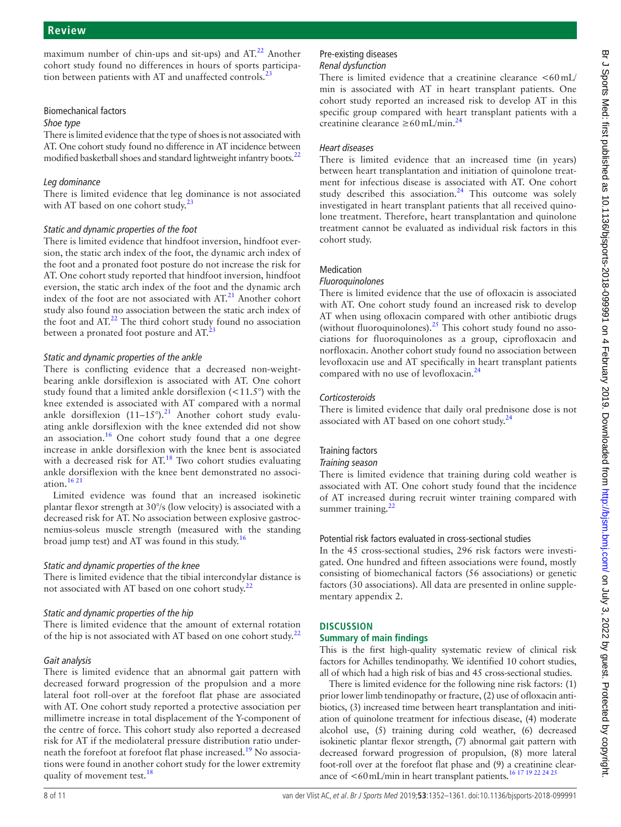maximum number of chin-ups and sit-ups) and  $AT<sup>22</sup>$  $AT<sup>22</sup>$  $AT<sup>22</sup>$  Another cohort study found no differences in hours of sports participation between patients with AT and unaffected controls.<sup>2</sup>

## Biomechanical factors

#### *Shoe type*

There is limited evidence that the type of shoes is not associated with AT. One cohort study found no difference in AT incidence between modified basketball shoes and standard lightweight infantry boots.<sup>22</sup>

## *Leg dominance*

There is limited evidence that leg dominance is not associated with AT based on one cohort study.<sup>23</sup>

## *Static and dynamic properties of the foot*

There is limited evidence that hindfoot inversion, hindfoot eversion, the static arch index of the foot, the dynamic arch index of the foot and a pronated foot posture do not increase the risk for AT. One cohort study reported that hindfoot inversion, hindfoot eversion, the static arch index of the foot and the dynamic arch index of the foot are not associated with  $AT<sup>21</sup>$  $AT<sup>21</sup>$  $AT<sup>21</sup>$  Another cohort study also found no association between the static arch index of the foot and  $AT<sup>22</sup>$ . The third cohort study found no association between a pronated foot posture and  $AT<sup>23</sup>$ 

## *Static and dynamic properties of the ankle*

There is conflicting evidence that a decreased non-weightbearing ankle dorsiflexion is associated with AT. One cohort study found that a limited ankle dorsiflexion  $(<11.5°)$  with the knee extended is associated with AT compared with a normal ankle dorsiflexion  $(11-15^{\circ})$ .<sup>[21](#page-9-13)</sup> Another cohort study evaluating ankle dorsiflexion with the knee extended did not show an association.[16](#page-9-11) One cohort study found that a one degree increase in ankle dorsiflexion with the knee bent is associated with a decreased risk for  $AT<sup>18</sup>$  Two cohort studies evaluating ankle dorsiflexion with the knee bent demonstrated no association. $1621$ 

Limited evidence was found that an increased isokinetic plantar flexor strength at 30°/s (low velocity) is associated with a decreased risk for AT. No association between explosive gastrocnemius-soleus muscle strength (measured with the standing broad jump test) and AT was found in this study.<sup>[16](#page-9-11)</sup>

## *Static and dynamic properties of the knee*

There is limited evidence that the tibial intercondylar distance is not associated with AT based on one cohort study.<sup>[22](#page-9-14)</sup>

## *Static and dynamic properties of the hip*

There is limited evidence that the amount of external rotation of the hip is not associated with AT based on one cohort study.<sup>[22](#page-9-14)</sup>

## *Gait analysis*

There is limited evidence that an abnormal gait pattern with decreased forward progression of the propulsion and a more lateral foot roll-over at the forefoot flat phase are associated with AT. One cohort study reported a protective association per millimetre increase in total displacement of the Y-component of the centre of force. This cohort study also reported a decreased risk for AT if the mediolateral pressure distribution ratio underneath the forefoot at forefoot flat phase increased.<sup>19</sup> No associations were found in another cohort study for the lower extremity quality of movement test.<sup>18</sup>

#### Pre-existing diseases *Renal dysfunction*

creatinine clearance  $\geq 60$  mL/min.<sup>[24](#page-10-0)</sup>

## There is limited evidence that a creatinine clearance  $\langle 60 \text{mL} \rangle$ min is associated with AT in heart transplant patients. One cohort study reported an increased risk to develop AT in this specific group compared with heart transplant patients with a

## *Heart diseases*

There is limited evidence that an increased time (in years) between heart transplantation and initiation of quinolone treatment for infectious disease is associated with AT. One cohort study described this association.<sup>24</sup> This outcome was solely investigated in heart transplant patients that all received quinolone treatment. Therefore, heart transplantation and quinolone treatment cannot be evaluated as individual risk factors in this cohort study.

## Medication

## *Fluoroquinolones*

There is limited evidence that the use of ofloxacin is associated with AT. One cohort study found an increased risk to develop AT when using ofloxacin compared with other antibiotic drugs (without fluoroquinolones).<sup>25</sup> This cohort study found no associations for fluoroquinolones as a group, ciprofloxacin and norfloxacin. Another cohort study found no association between levofloxacin use and AT specifically in heart transplant patients compared with no use of levofloxacin.<sup>[24](#page-10-0)</sup>

## *Corticosteroids*

There is limited evidence that daily oral prednisone dose is not associated with AT based on one cohort study.<sup>24</sup>

## Training factors

#### *Training season*

There is limited evidence that training during cold weather is associated with AT. One cohort study found that the incidence of AT increased during recruit winter training compared with summer training. $22$ 

## Potential risk factors evaluated in cross-sectional studies

In the 45 cross-sectional studies, 296 risk factors were investigated. One hundred and fifteen associations were found, mostly consisting of biomechanical factors (56 associations) or genetic factors (30 associations). All data are presented in online [supple](https://dx.doi.org/10.1136/bjsports-2018-099991)[mentary appendix 2](https://dx.doi.org/10.1136/bjsports-2018-099991).

## **Discussion**

## **Summary of main findings**

This is the first high-quality systematic review of clinical risk factors for Achilles tendinopathy. We identified 10 cohort studies, all of which had a high risk of bias and 45 cross-sectional studies.

There is limited evidence for the following nine risk factors: (1) prior lower limb tendinopathy or fracture, (2) use of ofloxacin antibiotics, (3) increased time between heart transplantation and initiation of quinolone treatment for infectious disease, (4) moderate alcohol use, (5) training during cold weather, (6) decreased isokinetic plantar flexor strength, (7) abnormal gait pattern with decreased forward progression of propulsion, (8) more lateral foot-roll over at the forefoot flat phase and (9) a creatinine clearance of <60mL/min in heart transplant patients[.16 17 19 22 24 25](#page-9-11)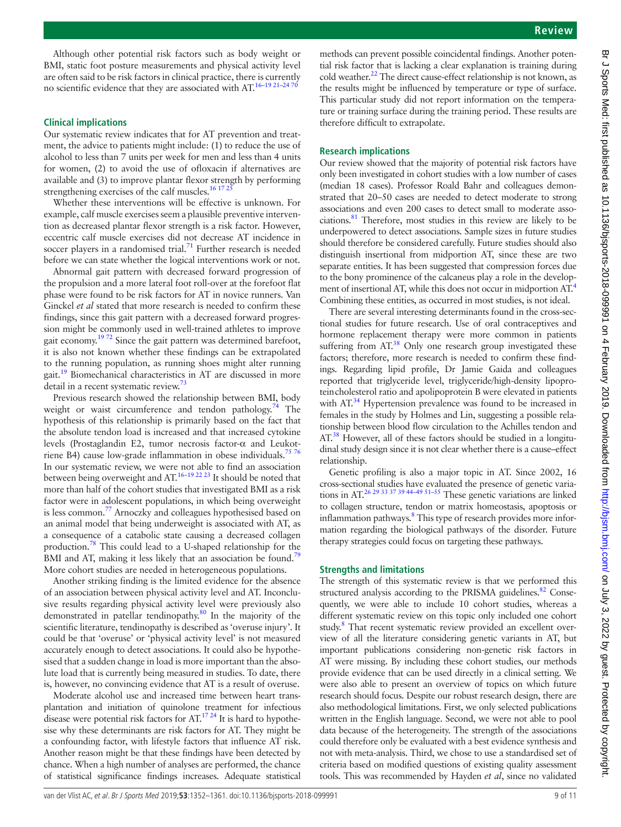Although other potential risk factors such as body weight or BMI, static foot posture measurements and physical activity level are often said to be risk factors in clinical practice, there is currently no scientific evidence that they are associated with AT.<sup>16–19 21–247</sup>

#### **Clinical implications**

Our systematic review indicates that for AT prevention and treatment, the advice to patients might include: (1) to reduce the use of alcohol to less than 7 units per week for men and less than 4 units for women, (2) to avoid the use of ofloxacin if alternatives are available and (3) to improve plantar flexor strength by performing strengthening exercises of the calf muscles.<sup>16 17 2</sup>

Whether these interventions will be effective is unknown. For example, calf muscle exercises seem a plausible preventive intervention as decreased plantar flexor strength is a risk factor. However, eccentric calf muscle exercises did not decrease AT incidence in soccer players in a randomised trial.<sup>71</sup> Further research is needed before we can state whether the logical interventions work or not.

Abnormal gait pattern with decreased forward progression of the propulsion and a more lateral foot roll-over at the forefoot flat phase were found to be risk factors for AT in novice runners. Van Ginckel *et al* stated that more research is needed to confirm these findings, since this gait pattern with a decreased forward progression might be commonly used in well-trained athletes to improve gait economy.<sup>1972</sup> Since the gait pattern was determined barefoot, it is also not known whether these findings can be extrapolated to the running population, as running shoes might alter running gait[.19](#page-9-17) Biomechanical characteristics in AT are discussed in more detail in a recent systematic review.<sup>[73](#page-10-4)</sup>

Previous research showed the relationship between BMI, body weight or waist circumference and tendon pathology.<sup>74</sup> The hypothesis of this relationship is primarily based on the fact that the absolute tendon load is increased and that increased cytokine levels (Prostaglandin E2, tumor necrosis factor-α and Leukot-riene B4) cause low-grade inflammation in obese individuals.<sup>[75 76](#page-10-6)</sup> In our systematic review, we were not able to find an association between being overweight and AT[.16–19 22 23](#page-9-11) It should be noted that more than half of the cohort studies that investigated BMI as a risk factor were in adolescent populations, in which being overweight is less common.<sup>[77](#page-10-7)</sup> Arnoczky and colleagues hypothesised based on an animal model that being underweight is associated with AT, as a consequence of a catabolic state causing a decreased collagen production[.78](#page-10-8) This could lead to a U-shaped relationship for the BMI and AT, making it less likely that an association be found.<sup>79</sup> More cohort studies are needed in heterogeneous populations.

Another striking finding is the limited evidence for the absence of an association between physical activity level and AT. Inconclusive results regarding physical activity level were previously also demonstrated in patellar tendinopathy.[80](#page-10-10) In the majority of the scientific literature, tendinopathy is described as 'overuse injury'. It could be that 'overuse' or 'physical activity level' is not measured accurately enough to detect associations. It could also be hypothesised that a sudden change in load is more important than the absolute load that is currently being measured in studies. To date, there is, however, no convincing evidence that AT is a result of overuse.

Moderate alcohol use and increased time between heart transplantation and initiation of quinolone treatment for infectious disease were potential risk factors for  $AT^{17,24}$  It is hard to hypothesise why these determinants are risk factors for AT. They might be a confounding factor, with lifestyle factors that influence AT risk. Another reason might be that these findings have been detected by chance. When a high number of analyses are performed, the chance of statistical significance findings increases. Adequate statistical

methods can prevent possible coincidental findings. Another potential risk factor that is lacking a clear explanation is training during cold weather.<sup>[22](#page-9-14)</sup> The direct cause-effect relationship is not known, as the results might be influenced by temperature or type of surface. This particular study did not report information on the temperature or training surface during the training period. These results are therefore difficult to extrapolate.

#### **Research implications**

Our review showed that the majority of potential risk factors have only been investigated in cohort studies with a low number of cases (median 18 cases). Professor Roald Bahr and colleagues demonstrated that 20–50 cases are needed to detect moderate to strong associations and even 200 cases to detect small to moderate associations[.81](#page-10-11) Therefore, most studies in this review are likely to be underpowered to detect associations. Sample sizes in future studies should therefore be considered carefully. Future studies should also distinguish insertional from midportion AT, since these are two separate entities. It has been suggested that compression forces due to the bony prominence of the calcaneus play a role in the development of insertional AT, while this does not occur in midportion AT.<sup>4</sup> Combining these entities, as occurred in most studies, is not ideal.

There are several interesting determinants found in the cross-sectional studies for future research. Use of oral contraceptives and hormone replacement therapy were more common in patients suffering from AT.<sup>38</sup> Only one research group investigated these factors; therefore, more research is needed to confirm these findings. Regarding lipid profile, Dr Jamie Gaida and colleagues reported that triglyceride level, triglyceride/high-density lipoproteincholesterol ratio and apolipoprotein B were elevated in patients with AT.<sup>34</sup> Hypertension prevalence was found to be increased in females in the study by Holmes and Lin, suggesting a possible relationship between blood flow circulation to the Achilles tendon and AT.<sup>38</sup> However, all of these factors should be studied in a longitudinal study design since it is not clear whether there is a cause–effect relationship.

Genetic profiling is also a major topic in AT. Since 2002, 16 cross-sectional studies have evaluated the presence of genetic variations in AT.<sup>26 29</sup> <sup>33</sup> <sup>37</sup> <sup>39</sup> <sup>44-49 51-55</sup> These genetic variations are linked to collagen structure, tendon or matrix homeostasis, apoptosis or inflammation pathways.<sup>[8](#page-9-5)</sup> This type of research provides more information regarding the biological pathways of the disorder. Future therapy strategies could focus on targeting these pathways.

#### **Strengths and limitations**

The strength of this systematic review is that we performed this structured analysis according to the PRISMA guidelines.<sup>[82](#page-10-15)</sup> Consequently, we were able to include 10 cohort studies, whereas a different systematic review on this topic only included one cohort study.<sup>[8](#page-9-5)</sup> That recent systematic review provided an excellent overview of all the literature considering genetic variants in AT, but important publications considering non-genetic risk factors in AT were missing. By including these cohort studies, our methods provide evidence that can be used directly in a clinical setting. We were also able to present an overview of topics on which future research should focus. Despite our robust research design, there are also methodological limitations. First, we only selected publications written in the English language. Second, we were not able to pool data because of the heterogeneity. The strength of the associations could therefore only be evaluated with a best evidence synthesis and not with meta-analysis. Third, we chose to use a standardised set of criteria based on modified questions of existing quality assessment tools. This was recommended by Hayden *et al*, since no validated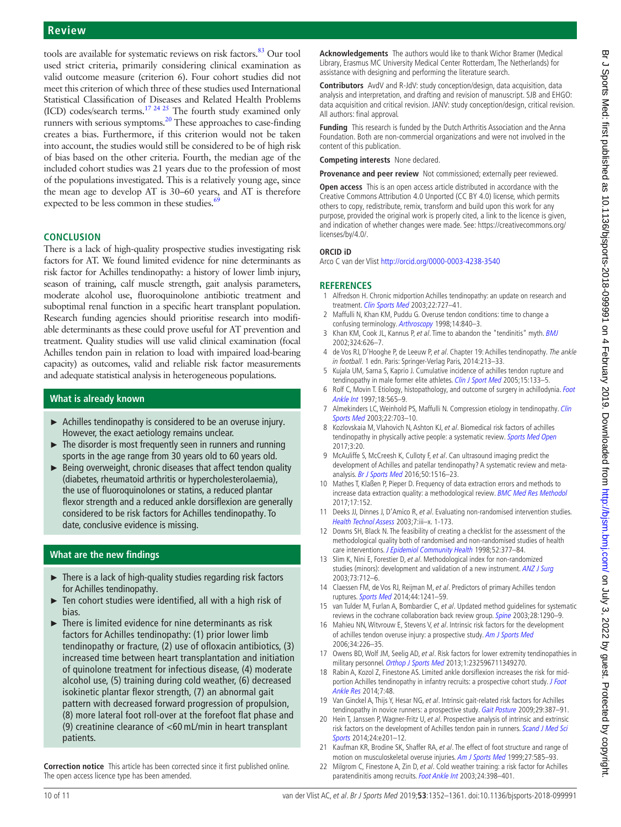#### **Review**

tools are available for systematic reviews on risk factors.<sup>83</sup> Our tool used strict criteria, primarily considering clinical examination as valid outcome measure (criterion 6). Four cohort studies did not meet this criterion of which three of these studies used International Statistical Classification of Diseases and Related Health Problems (ICD) codes/search terms. $17 \frac{24}{25}$  The fourth study examined only runners with serious symptoms[.20](#page-9-12) These approaches to case-finding creates a bias. Furthermore, if this criterion would not be taken into account, the studies would still be considered to be of high risk of bias based on the other criteria. Fourth, the median age of the included cohort studies was 21 years due to the profession of most of the populations investigated. This is a relatively young age, since the mean age to develop AT is 30–60 years, and AT is therefore expected to be less common in these studies.<sup>6</sup>

#### **Conclusion**

There is a lack of high-quality prospective studies investigating risk factors for AT. We found limited evidence for nine determinants as risk factor for Achilles tendinopathy: a history of lower limb injury, season of training, calf muscle strength, gait analysis parameters, moderate alcohol use, fluoroquinolone antibiotic treatment and suboptimal renal function in a specific heart transplant population. Research funding agencies should prioritise research into modifiable determinants as these could prove useful for AT prevention and treatment. Quality studies will use valid clinical examination (focal Achilles tendon pain in relation to load with impaired load-bearing capacity) as outcomes, valid and reliable risk factor measurements and adequate statistical analysis in heterogeneous populations.

## **What is already known**

- ► Achilles tendinopathy is considered to be an overuse injury. However, the exact aetiology remains unclear.
- ► The disorder is most frequently seen in runners and running sports in the age range from 30 years old to 60 years old.
- $\triangleright$  Being overweight, chronic diseases that affect tendon quality (diabetes, rheumatoid arthritis or hypercholesterolaemia), the use of fluoroquinolones or statins, a reduced plantar flexor strength and a reduced ankle dorsiflexion are generally considered to be risk factors for Achilles tendinopathy. To date, conclusive evidence is missing.

## **What are the new findings**

- ► There is a lack of high-quality studies regarding risk factors for Achilles tendinopathy.
- Ten cohort studies were identified, all with a high risk of bias.
- ► There is limited evidence for nine determinants as risk factors for Achilles tendinopathy: (1) prior lower limb tendinopathy or fracture, (2) use of ofloxacin antibiotics, (3) increased time between heart transplantation and initiation of quinolone treatment for infectious disease, (4) moderate alcohol use, (5) training during cold weather, (6) decreased isokinetic plantar flexor strength, (7) an abnormal gait pattern with decreased forward progression of propulsion, (8) more lateral foot roll-over at the forefoot flat phase and (9) creatinine clearance of <60 mL/min in heart transplant patients.

**Correction notice** This article has been corrected since it first published online. The open access licence type has been amended.

**Acknowledgements** The authors would like to thank Wichor Bramer (Medical Library, Erasmus MC University Medical Center Rotterdam, The Netherlands) for assistance with designing and performing the literature search.

**Contributors** AvdV and R-JdV: study conception/design, data acquisition, data analysis and interpretation, and drafting and revision of manuscript. SJB and EHGO: data acquisition and critical revision. JANV: study conception/design, critical revision. All authors: final approval.

**Funding** This research is funded by the Dutch Arthritis Association and the Anna Foundation. Both are non-commercial organizations and were not involved in the content of this publication.

**Competing interests** None declared.

**Provenance and peer review** Not commissioned; externally peer reviewed.

**Open access** This is an open access article distributed in accordance with the Creative Commons Attribution 4.0 Unported (CC BY 4.0) license, which permits others to copy, redistribute, remix, transform and build upon this work for any purpose, provided the original work is properly cited, a link to the licence is given, and indication of whether changes were made. See: [https://creativecommons.org/](https://creativecommons.org/licenses/by/4.0/) [licenses/by/4.0/.](https://creativecommons.org/licenses/by/4.0/)

#### **ORCID iD**

Arco C van der Vlist <http://orcid.org/0000-0003-4238-3540>

#### **References**

- <span id="page-9-0"></span>1 Alfredson H. Chronic midportion Achilles tendinopathy: an update on research and treatment. [Clin Sports Med](http://dx.doi.org/10.1016/S0278-5919(03)00010-3) 2003;22:727-41.
- 2 Maffulli N, Khan KM, Puddu G. Overuse tendon conditions: time to change a confusing terminology. [Arthroscopy](http://dx.doi.org/10.1016/S0749-8063(98)70021-0) 1998;14:840–3.
- 3 Khan KM, Cook JL, Kannus P, et al. Time to abandon the "tendinitis" myth. [BMJ](http://dx.doi.org/10.1136/bmj.324.7338.626) 2002;324:626–7.
- <span id="page-9-1"></span>4 de Vos RJ, D'Hooghe P, de Leeuw P, et al. Chapter 19: Achilles tendinopathy. The ankle in football. 1 edn. Paris: Springer-Verlag Paris, 2014:213-33.
- <span id="page-9-2"></span>5 Kujala UM, Sarna S, Kaprio J. Cumulative incidence of achilles tendon rupture and tendinopathy in male former elite athletes. [Clin J Sport Med](http://dx.doi.org/10.1097/01.jsm.0000165347.55638.23) 2005;15:133-5.
- <span id="page-9-3"></span>6 Rolf C, Movin T. Etiology, histopathology, and outcome of surgery in achillodynia. Foot [Ankle Int](http://dx.doi.org/10.1177/107110079701800906) 1997;18:565–9.
- <span id="page-9-4"></span>7 Almekinders LC, Weinhold PS, Maffulli N. Compression etiology in tendinopathy. Clin [Sports Med](http://dx.doi.org/10.1016/S0278-5919(03)00067-X) 2003;22:703-10.
- <span id="page-9-5"></span>8 Kozlovskaia M, Vlahovich N, Ashton KJ, et al. Biomedical risk factors of achilles tendinopathy in physically active people: a systematic review. [Sports Med Open](http://dx.doi.org/10.1186/s40798-017-0087-y) 2017;3:20.
- <span id="page-9-6"></span>9 McAuliffe S, McCreesh K, Culloty F, et al. Can ultrasound imaging predict the development of Achilles and patellar tendinopathy? A systematic review and metaanalysis. [Br J Sports Med](http://dx.doi.org/10.1136/bjsports-2016-096288) 2016;50:1516–23.
- <span id="page-9-7"></span>10 Mathes T, Klaßen P, Pieper D. Frequency of data extraction errors and methods to increase data extraction quality: a methodological review. [BMC Med Res Methodol](http://dx.doi.org/10.1186/s12874-017-0431-4) 2017;17:152.
- <span id="page-9-8"></span>11 Deeks JJ, Dinnes J, D'Amico R, et al. Evaluating non-randomised intervention studies. [Health Technol Assess](http://dx.doi.org/10.3310/hta7270) 2003;7:iii–x. 1-173.
- 12 Downs SH, Black N. The feasibility of creating a checklist for the assessment of the methodological quality both of randomised and non-randomised studies of health care interventions. [J Epidemiol Community Health](http://dx.doi.org/10.1136/jech.52.6.377) 1998;52:377-84.
- 13 Slim K, Nini E, Forestier D, et al. Methodological index for non-randomized studies (minors): development and validation of a new instrument. [ANZ J Surg](http://dx.doi.org/10.1046/j.1445-2197.2003.02748.x) 2003;73:712–6.
- <span id="page-9-9"></span>14 Claessen FM, de Vos RJ, Reijman M, et al. Predictors of primary Achilles tendon ruptures. [Sports Med](http://dx.doi.org/10.1007/s40279-014-0200-z) 2014;44:1241–59.
- <span id="page-9-10"></span>15 van Tulder M, Furlan A, Bombardier C, et al. Updated method quidelines for systematic reviews in the cochrane collaboration back review group. [Spine](http://dx.doi.org/10.1097/01.BRS.0000065484.95996.AF) 2003;28:1290-9.
- <span id="page-9-11"></span>16 Mahieu NN, Witvrouw E, Stevens V, et al. Intrinsic risk factors for the development of achilles tendon overuse injury: a prospective study. [Am J Sports Med](http://dx.doi.org/10.1177/0363546505279918) 2006;34:226–35.
- <span id="page-9-15"></span>17 Owens BD, Wolf JM, Seelig AD, et al. Risk factors for lower extremity tendinopathies in military personnel. [Orthop J Sports Med](http://dx.doi.org/10.1177/2325967113492707) 2013;1:232596711349270.
- <span id="page-9-16"></span>18 Rabin A, Kozol Z, Finestone AS. Limited ankle dorsiflexion increases the risk for midportion Achilles tendinopathy in infantry recruits: a prospective cohort study. J Foot [Ankle Res](http://dx.doi.org/10.1186/s13047-014-0048-3) 2014;7:48.
- <span id="page-9-17"></span>19 Van Ginckel A, Thijs Y, Hesar NG, et al. Intrinsic gait-related risk factors for Achilles tendinopathy in novice runners: a prospective study. [Gait Posture](http://dx.doi.org/10.1016/j.gaitpost.2008.10.058) 2009;29:387-91.
- <span id="page-9-12"></span>20 Hein T, Janssen P, Wagner-Fritz U, et al. Prospective analysis of intrinsic and extrinsic risk factors on the development of Achilles tendon pain in runners. Scand J Med Sci [Sports](http://dx.doi.org/10.1111/sms.12137) 2014;24:e201–12.
- <span id="page-9-13"></span>21 Kaufman KR, Brodine SK, Shaffer RA, et al. The effect of foot structure and range of motion on musculoskeletal overuse injuries. [Am J Sports Med](http://dx.doi.org/10.1177/03635465990270050701) 1999;27:585-93.
- <span id="page-9-14"></span>22 Milgrom C, Finestone A, Zin D, et al. Cold weather training: a risk factor for Achilles paratendinitis among recruits. [Foot Ankle Int](http://dx.doi.org/10.1177/107110070302400504) 2003;24:398-401.